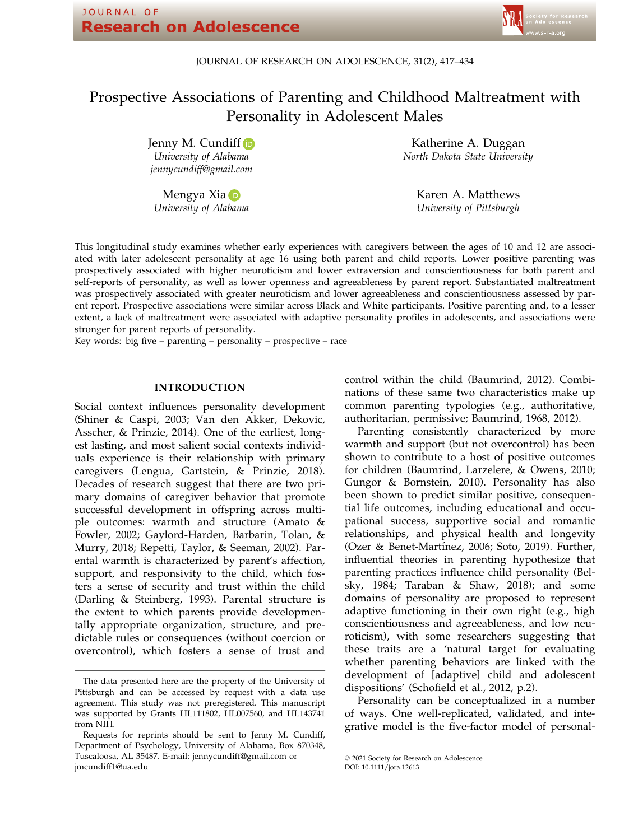JOURNAL OF RESEARCH ON ADOLESCENCE, 31(2), 417–434

# Prospective Associations of Parenting and Childhood Maltreatment with Personality in Adolescent Males

Jenny M. Cundi[f](https://orcid.org/0000-0002-4477-3262)f University of Alabama jennycundiff@gmail.com

Mengya Xia **D** University of Alabama

Katherine A. Duggan North Dakota State University

> Karen A. Matthews University of Pittsburgh

This longitudinal study examines whether early experiences with caregivers between the ages of 10 and 12 are associated with later adolescent personality at age 16 using both parent and child reports. Lower positive parenting was prospectively associated with higher neuroticism and lower extraversion and conscientiousness for both parent and self-reports of personality, as well as lower openness and agreeableness by parent report. Substantiated maltreatment was prospectively associated with greater neuroticism and lower agreeableness and conscientiousness assessed by parent report. Prospective associations were similar across Black and White participants. Positive parenting and, to a lesser extent, a lack of maltreatment were associated with adaptive personality profiles in adolescents, and associations were stronger for parent reports of personality.

Key words: big five – parenting – personality – prospective – race

### INTRODUCTION

Social context influences personality development (Shiner & Caspi, 2003; Van den Akker, Dekovic, Asscher, & Prinzie, 2014). One of the earliest, longest lasting, and most salient social contexts individuals experience is their relationship with primary caregivers (Lengua, Gartstein, & Prinzie, 2018). Decades of research suggest that there are two primary domains of caregiver behavior that promote successful development in offspring across multiple outcomes: warmth and structure (Amato & Fowler, 2002; Gaylord-Harden, Barbarin, Tolan, & Murry, 2018; Repetti, Taylor, & Seeman, 2002). Parental warmth is characterized by parent's affection, support, and responsivity to the child, which fosters a sense of security and trust within the child (Darling & Steinberg, 1993). Parental structure is the extent to which parents provide developmentally appropriate organization, structure, and predictable rules or consequences (without coercion or overcontrol), which fosters a sense of trust and

control within the child (Baumrind, 2012). Combinations of these same two characteristics make up common parenting typologies (e.g., authoritative, authoritarian, permissive; Baumrind, 1968, 2012).

Parenting consistently characterized by more warmth and support (but not overcontrol) has been shown to contribute to a host of positive outcomes for children (Baumrind, Larzelere, & Owens, 2010; Gungor & Bornstein, 2010). Personality has also been shown to predict similar positive, consequential life outcomes, including educational and occupational success, supportive social and romantic relationships, and physical health and longevity (Ozer & Benet-Martínez, 2006; Soto, 2019). Further, influential theories in parenting hypothesize that parenting practices influence child personality (Belsky, 1984; Taraban & Shaw, 2018); and some domains of personality are proposed to represent adaptive functioning in their own right (e.g., high conscientiousness and agreeableness, and low neuroticism), with some researchers suggesting that these traits are a 'natural target for evaluating whether parenting behaviors are linked with the development of [adaptive] child and adolescent dispositions' (Schofield et al., 2012, p.2).

Personality can be conceptualized in a number of ways. One well-replicated, validated, and integrative model is the five-factor model of personal-

The data presented here are the property of the University of Pittsburgh and can be accessed by request with a data use agreement. This study was not preregistered. This manuscript was supported by Grants HL111802, HL007560, and HL143741 from NIH.

Requests for reprints should be sent to Jenny M. Cundiff, Department of Psychology, University of Alabama, Box 870348, Tuscaloosa, AL 35487. E-mail: [jennycundiff@gmail.com](mailto:) or [jmcundiff1@ua.edu](mailto:)

<sup>©</sup> 2021 Society for Research on Adolescence

DOI: 10.1111/jora.12613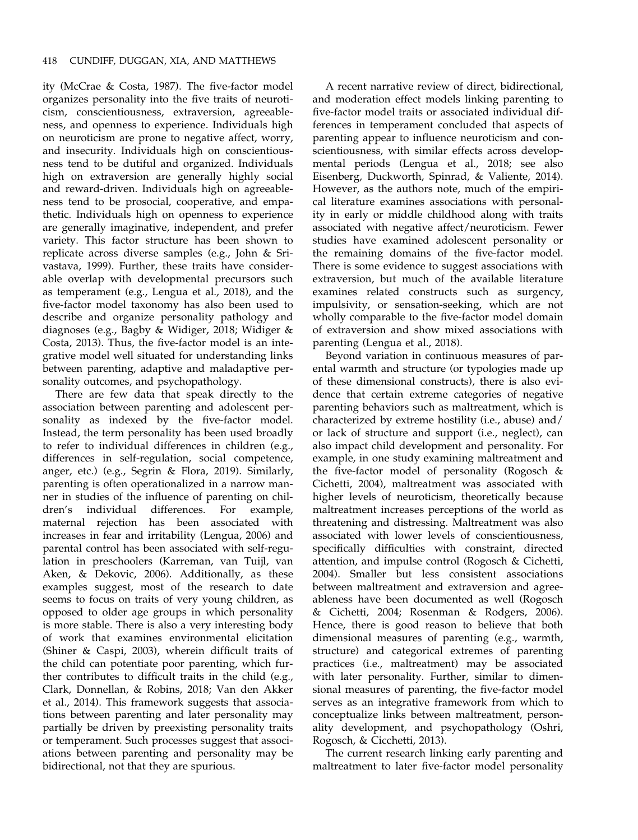ity (McCrae & Costa, 1987). The five-factor model organizes personality into the five traits of neuroticism, conscientiousness, extraversion, agreeableness, and openness to experience. Individuals high on neuroticism are prone to negative affect, worry, and insecurity. Individuals high on conscientiousness tend to be dutiful and organized. Individuals high on extraversion are generally highly social and reward-driven. Individuals high on agreeableness tend to be prosocial, cooperative, and empathetic. Individuals high on openness to experience are generally imaginative, independent, and prefer variety. This factor structure has been shown to replicate across diverse samples (e.g., John & Srivastava, 1999). Further, these traits have considerable overlap with developmental precursors such as temperament (e.g., Lengua et al., 2018), and the five-factor model taxonomy has also been used to describe and organize personality pathology and diagnoses (e.g., Bagby & Widiger, 2018; Widiger & Costa, 2013). Thus, the five-factor model is an integrative model well situated for understanding links between parenting, adaptive and maladaptive personality outcomes, and psychopathology.

There are few data that speak directly to the association between parenting and adolescent personality as indexed by the five-factor model. Instead, the term personality has been used broadly to refer to individual differences in children (e.g., differences in self-regulation, social competence, anger, etc.) (e.g., Segrin & Flora, 2019). Similarly, parenting is often operationalized in a narrow manner in studies of the influence of parenting on children's individual differences. For example, maternal rejection has been associated with increases in fear and irritability (Lengua, 2006) and parental control has been associated with self-regulation in preschoolers (Karreman, van Tuijl, van Aken, & Dekovic, 2006). Additionally, as these examples suggest, most of the research to date seems to focus on traits of very young children, as opposed to older age groups in which personality is more stable. There is also a very interesting body of work that examines environmental elicitation (Shiner & Caspi, 2003), wherein difficult traits of the child can potentiate poor parenting, which further contributes to difficult traits in the child (e.g., Clark, Donnellan, & Robins, 2018; Van den Akker et al., 2014). This framework suggests that associations between parenting and later personality may partially be driven by preexisting personality traits or temperament. Such processes suggest that associations between parenting and personality may be bidirectional, not that they are spurious.

A recent narrative review of direct, bidirectional, and moderation effect models linking parenting to five-factor model traits or associated individual differences in temperament concluded that aspects of parenting appear to influence neuroticism and conscientiousness, with similar effects across developmental periods (Lengua et al., 2018; see also Eisenberg, Duckworth, Spinrad, & Valiente, 2014). However, as the authors note, much of the empirical literature examines associations with personality in early or middle childhood along with traits associated with negative affect/neuroticism. Fewer studies have examined adolescent personality or the remaining domains of the five-factor model. There is some evidence to suggest associations with extraversion, but much of the available literature examines related constructs such as surgency, impulsivity, or sensation-seeking, which are not wholly comparable to the five-factor model domain of extraversion and show mixed associations with parenting (Lengua et al., 2018).

Beyond variation in continuous measures of parental warmth and structure (or typologies made up of these dimensional constructs), there is also evidence that certain extreme categories of negative parenting behaviors such as maltreatment, which is characterized by extreme hostility (i.e., abuse) and/ or lack of structure and support (i.e., neglect), can also impact child development and personality. For example, in one study examining maltreatment and the five-factor model of personality (Rogosch & Cichetti, 2004), maltreatment was associated with higher levels of neuroticism, theoretically because maltreatment increases perceptions of the world as threatening and distressing. Maltreatment was also associated with lower levels of conscientiousness, specifically difficulties with constraint, directed attention, and impulse control (Rogosch & Cichetti, 2004). Smaller but less consistent associations between maltreatment and extraversion and agreeableness have been documented as well (Rogosch & Cichetti, 2004; Rosenman & Rodgers, 2006). Hence, there is good reason to believe that both dimensional measures of parenting (e.g., warmth, structure) and categorical extremes of parenting practices (i.e., maltreatment) may be associated with later personality. Further, similar to dimensional measures of parenting, the five-factor model serves as an integrative framework from which to conceptualize links between maltreatment, personality development, and psychopathology (Oshri, Rogosch, & Cicchetti, 2013).

The current research linking early parenting and maltreatment to later five-factor model personality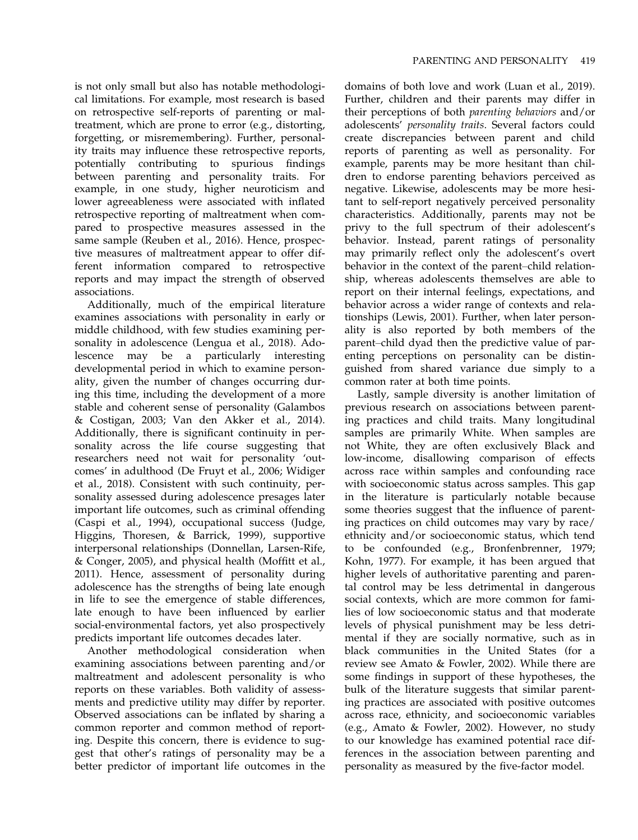is not only small but also has notable methodological limitations. For example, most research is based on retrospective self-reports of parenting or maltreatment, which are prone to error (e.g., distorting, forgetting, or misremembering). Further, personality traits may influence these retrospective reports, potentially contributing to spurious findings between parenting and personality traits. For example, in one study, higher neuroticism and lower agreeableness were associated with inflated retrospective reporting of maltreatment when compared to prospective measures assessed in the same sample (Reuben et al., 2016). Hence, prospective measures of maltreatment appear to offer different information compared to retrospective reports and may impact the strength of observed associations.

Additionally, much of the empirical literature examines associations with personality in early or middle childhood, with few studies examining personality in adolescence (Lengua et al., 2018). Adolescence may be a particularly interesting developmental period in which to examine personality, given the number of changes occurring during this time, including the development of a more stable and coherent sense of personality (Galambos & Costigan, 2003; Van den Akker et al., 2014). Additionally, there is significant continuity in personality across the life course suggesting that researchers need not wait for personality 'outcomes' in adulthood (De Fruyt et al., 2006; Widiger et al., 2018). Consistent with such continuity, personality assessed during adolescence presages later important life outcomes, such as criminal offending (Caspi et al., 1994), occupational success (Judge, Higgins, Thoresen, & Barrick, 1999), supportive interpersonal relationships (Donnellan, Larsen-Rife, & Conger, 2005), and physical health (Moffitt et al., 2011). Hence, assessment of personality during adolescence has the strengths of being late enough in life to see the emergence of stable differences, late enough to have been influenced by earlier social-environmental factors, yet also prospectively predicts important life outcomes decades later.

Another methodological consideration when examining associations between parenting and/or maltreatment and adolescent personality is who reports on these variables. Both validity of assessments and predictive utility may differ by reporter. Observed associations can be inflated by sharing a common reporter and common method of reporting. Despite this concern, there is evidence to suggest that other's ratings of personality may be a better predictor of important life outcomes in the

domains of both love and work (Luan et al., 2019). Further, children and their parents may differ in their perceptions of both parenting behaviors and/or adolescents' personality traits. Several factors could create discrepancies between parent and child reports of parenting as well as personality. For example, parents may be more hesitant than children to endorse parenting behaviors perceived as negative. Likewise, adolescents may be more hesitant to self-report negatively perceived personality characteristics. Additionally, parents may not be privy to the full spectrum of their adolescent's behavior. Instead, parent ratings of personality may primarily reflect only the adolescent's overt behavior in the context of the parent–child relationship, whereas adolescents themselves are able to report on their internal feelings, expectations, and behavior across a wider range of contexts and relationships (Lewis, 2001). Further, when later personality is also reported by both members of the parent–child dyad then the predictive value of parenting perceptions on personality can be distinguished from shared variance due simply to a common rater at both time points.

Lastly, sample diversity is another limitation of previous research on associations between parenting practices and child traits. Many longitudinal samples are primarily White. When samples are not White, they are often exclusively Black and low-income, disallowing comparison of effects across race within samples and confounding race with socioeconomic status across samples. This gap in the literature is particularly notable because some theories suggest that the influence of parenting practices on child outcomes may vary by race/ ethnicity and/or socioeconomic status, which tend to be confounded (e.g., Bronfenbrenner, 1979; Kohn, 1977). For example, it has been argued that higher levels of authoritative parenting and parental control may be less detrimental in dangerous social contexts, which are more common for families of low socioeconomic status and that moderate levels of physical punishment may be less detrimental if they are socially normative, such as in black communities in the United States (for a review see Amato & Fowler, 2002). While there are some findings in support of these hypotheses, the bulk of the literature suggests that similar parenting practices are associated with positive outcomes across race, ethnicity, and socioeconomic variables (e.g., Amato & Fowler, 2002). However, no study to our knowledge has examined potential race differences in the association between parenting and personality as measured by the five-factor model.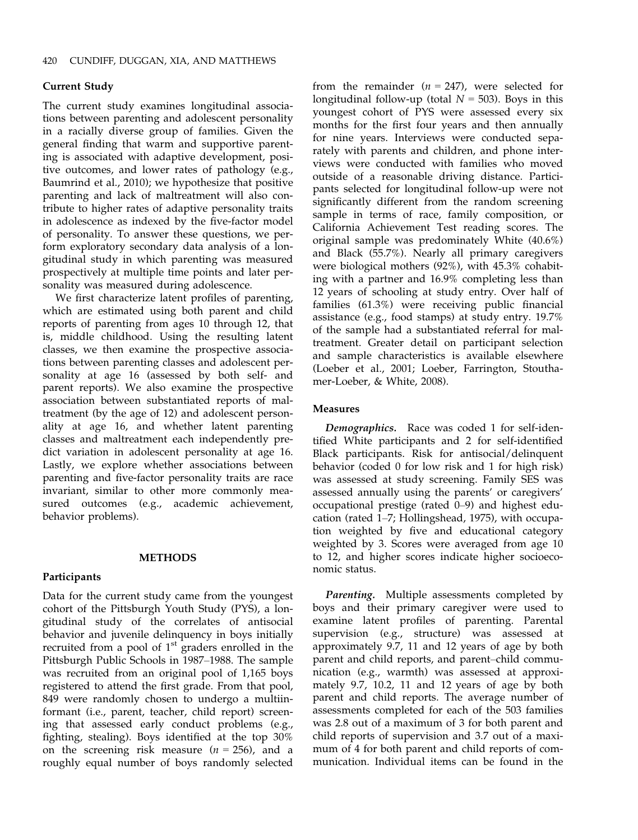## Current Study

The current study examines longitudinal associations between parenting and adolescent personality in a racially diverse group of families. Given the general finding that warm and supportive parenting is associated with adaptive development, positive outcomes, and lower rates of pathology (e.g., Baumrind et al., 2010); we hypothesize that positive parenting and lack of maltreatment will also contribute to higher rates of adaptive personality traits in adolescence as indexed by the five-factor model of personality. To answer these questions, we perform exploratory secondary data analysis of a longitudinal study in which parenting was measured prospectively at multiple time points and later personality was measured during adolescence.

We first characterize latent profiles of parenting, which are estimated using both parent and child reports of parenting from ages 10 through 12, that is, middle childhood. Using the resulting latent classes, we then examine the prospective associations between parenting classes and adolescent personality at age 16 (assessed by both self- and parent reports). We also examine the prospective association between substantiated reports of maltreatment (by the age of 12) and adolescent personality at age 16, and whether latent parenting classes and maltreatment each independently predict variation in adolescent personality at age 16. Lastly, we explore whether associations between parenting and five-factor personality traits are race invariant, similar to other more commonly measured outcomes (e.g., academic achievement, behavior problems).

#### METHODS

### **Participants**

Data for the current study came from the youngest cohort of the Pittsburgh Youth Study (PYS), a longitudinal study of the correlates of antisocial behavior and juvenile delinquency in boys initially recruited from a pool of  $1<sup>st</sup>$  graders enrolled in the Pittsburgh Public Schools in 1987–1988. The sample was recruited from an original pool of 1,165 boys registered to attend the first grade. From that pool, 849 were randomly chosen to undergo a multiinformant (i.e., parent, teacher, child report) screening that assessed early conduct problems (e.g., fighting, stealing). Boys identified at the top 30% on the screening risk measure ( $n = 256$ ), and a roughly equal number of boys randomly selected from the remainder  $(n = 247)$ , were selected for longitudinal follow-up (total  $N = 503$ ). Boys in this youngest cohort of PYS were assessed every six months for the first four years and then annually for nine years. Interviews were conducted separately with parents and children, and phone interviews were conducted with families who moved outside of a reasonable driving distance. Participants selected for longitudinal follow-up were not significantly different from the random screening sample in terms of race, family composition, or California Achievement Test reading scores. The original sample was predominately White (40.6%) and Black (55.7%). Nearly all primary caregivers were biological mothers (92%), with 45.3% cohabiting with a partner and 16.9% completing less than 12 years of schooling at study entry. Over half of families (61.3%) were receiving public financial assistance (e.g., food stamps) at study entry. 19.7% of the sample had a substantiated referral for maltreatment. Greater detail on participant selection and sample characteristics is available elsewhere (Loeber et al., 2001; Loeber, Farrington, Stouthamer-Loeber, & White, 2008).

## Measures

Demographics. Race was coded 1 for self-identified White participants and 2 for self-identified Black participants. Risk for antisocial/delinquent behavior (coded 0 for low risk and 1 for high risk) was assessed at study screening. Family SES was assessed annually using the parents' or caregivers' occupational prestige (rated 0–9) and highest education (rated 1–7; Hollingshead, 1975), with occupation weighted by five and educational category weighted by 3. Scores were averaged from age 10 to 12, and higher scores indicate higher socioeconomic status.

Parenting. Multiple assessments completed by boys and their primary caregiver were used to examine latent profiles of parenting. Parental supervision (e.g., structure) was assessed at approximately 9.7, 11 and 12 years of age by both parent and child reports, and parent–child communication (e.g., warmth) was assessed at approximately 9.7, 10.2, 11 and 12 years of age by both parent and child reports. The average number of assessments completed for each of the 503 families was 2.8 out of a maximum of 3 for both parent and child reports of supervision and 3.7 out of a maximum of 4 for both parent and child reports of communication. Individual items can be found in the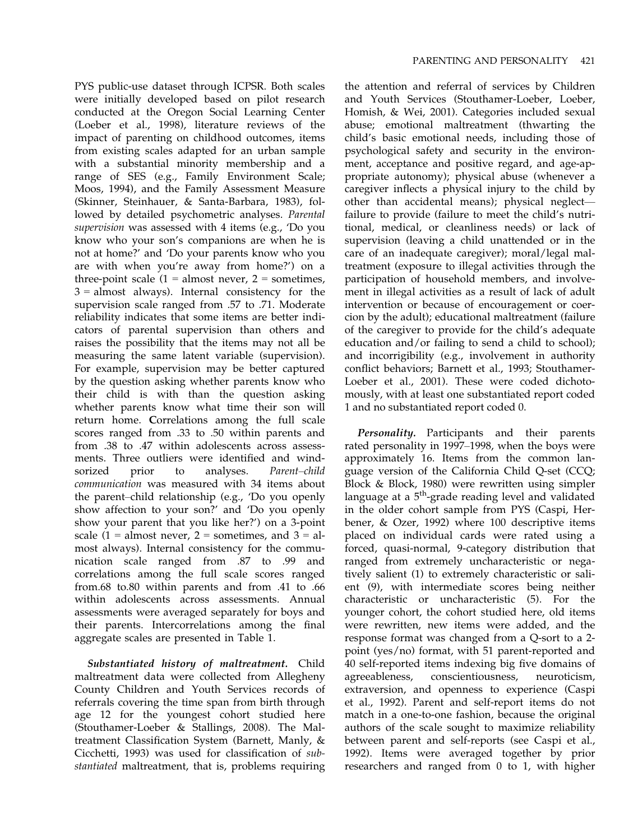PYS public-use dataset through ICPSR. Both scales were initially developed based on pilot research conducted at the Oregon Social Learning Center (Loeber et al., 1998), literature reviews of the impact of parenting on childhood outcomes, items from existing scales adapted for an urban sample with a substantial minority membership and a range of SES (e.g., Family Environment Scale; Moos, 1994), and the Family Assessment Measure (Skinner, Steinhauer, & Santa-Barbara, 1983), followed by detailed psychometric analyses. Parental supervision was assessed with 4 items (e.g., 'Do you know who your son's companions are when he is not at home?' and 'Do your parents know who you are with when you're away from home?') on a three-point scale  $(1 =$  almost never,  $2 =$  sometimes,  $3 =$  almost always). Internal consistency for the supervision scale ranged from .57 to .71. Moderate reliability indicates that some items are better indicators of parental supervision than others and raises the possibility that the items may not all be measuring the same latent variable (supervision). For example, supervision may be better captured by the question asking whether parents know who their child is with than the question asking whether parents know what time their son will return home. Correlations among the full scale scores ranged from .33 to .50 within parents and from .38 to .47 within adolescents across assessments. Three outliers were identified and windsorized prior to analyses. Parent–child communication was measured with 34 items about the parent–child relationship (e.g., 'Do you openly show affection to your son?' and 'Do you openly show your parent that you like her?') on a 3-point scale  $(1 =$  almost never,  $2 =$  sometimes, and  $3 =$  almost always). Internal consistency for the communication scale ranged from .87 to .99 and correlations among the full scale scores ranged from.68 to.80 within parents and from .41 to .66 within adolescents across assessments. Annual assessments were averaged separately for boys and their parents. Intercorrelations among the final aggregate scales are presented in Table 1.

Substantiated history of maltreatment. Child maltreatment data were collected from Allegheny County Children and Youth Services records of referrals covering the time span from birth through age 12 for the youngest cohort studied here (Stouthamer-Loeber & Stallings, 2008). The Maltreatment Classification System (Barnett, Manly, & Cicchetti, 1993) was used for classification of substantiated maltreatment, that is, problems requiring

the attention and referral of services by Children and Youth Services (Stouthamer-Loeber, Loeber, Homish, & Wei, 2001). Categories included sexual abuse; emotional maltreatment (thwarting the child's basic emotional needs, including those of psychological safety and security in the environment, acceptance and positive regard, and age-appropriate autonomy); physical abuse (whenever a caregiver inflects a physical injury to the child by other than accidental means); physical neglect failure to provide (failure to meet the child's nutritional, medical, or cleanliness needs) or lack of supervision (leaving a child unattended or in the care of an inadequate caregiver); moral/legal maltreatment (exposure to illegal activities through the participation of household members, and involvement in illegal activities as a result of lack of adult intervention or because of encouragement or coercion by the adult); educational maltreatment (failure of the caregiver to provide for the child's adequate education and/or failing to send a child to school); and incorrigibility (e.g., involvement in authority conflict behaviors; Barnett et al., 1993; Stouthamer-Loeber et al., 2001). These were coded dichotomously, with at least one substantiated report coded 1 and no substantiated report coded 0.

Personality. Participants and their parents rated personality in 1997–1998, when the boys were approximately 16. Items from the common language version of the California Child Q-set (CCQ; Block & Block, 1980) were rewritten using simpler language at a 5<sup>th</sup>-grade reading level and validated in the older cohort sample from PYS (Caspi, Herbener, & Ozer, 1992) where 100 descriptive items placed on individual cards were rated using a forced, quasi-normal, 9-category distribution that ranged from extremely uncharacteristic or negatively salient (1) to extremely characteristic or salient (9), with intermediate scores being neither characteristic or uncharacteristic (5). For the younger cohort, the cohort studied here, old items were rewritten, new items were added, and the response format was changed from a Q-sort to a 2 point (yes/no) format, with 51 parent-reported and 40 self-reported items indexing big five domains of agreeableness, conscientiousness, neuroticism, extraversion, and openness to experience (Caspi et al., 1992). Parent and self-report items do not match in a one-to-one fashion, because the original authors of the scale sought to maximize reliability between parent and self-reports (see Caspi et al., 1992). Items were averaged together by prior researchers and ranged from 0 to 1, with higher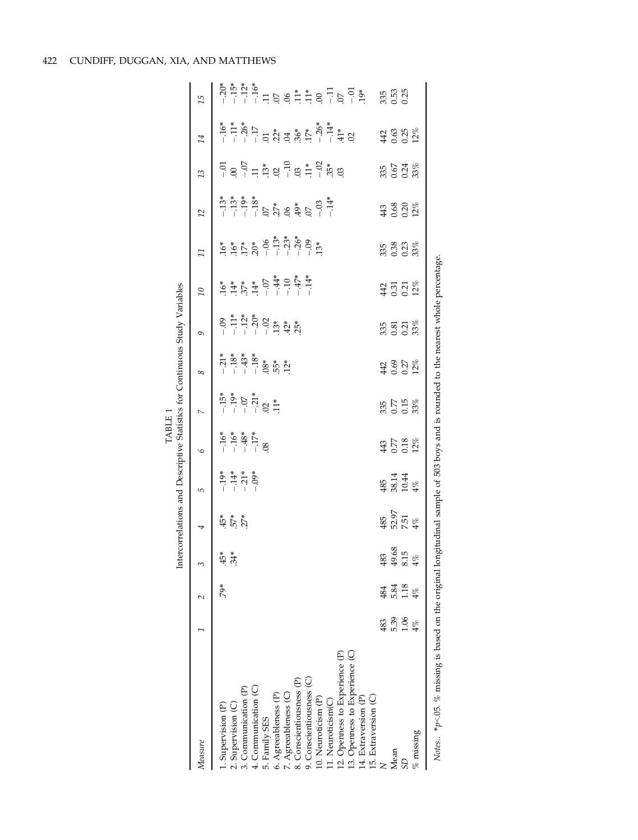## 422 CUNDIFF, DUGGAN, XIA, AND MATTHEWS

|                                                                                                                                                                                                                                                                                                                                                                                    |       |               |                                      |                                                                                    | Intercorrelations and Descriptive Statistics for Continuous Study Variables                                                                                                                             | TABLE                                                                              |                                                                                                                                                                                                    |                                                                              |                                                                                                  |                 |                     |                     |                                                                                                                                                                                |                                                                                                                                                                                                                                                                                                                                                                                                                                                                                                                                                                            |                     |
|------------------------------------------------------------------------------------------------------------------------------------------------------------------------------------------------------------------------------------------------------------------------------------------------------------------------------------------------------------------------------------|-------|---------------|--------------------------------------|------------------------------------------------------------------------------------|---------------------------------------------------------------------------------------------------------------------------------------------------------------------------------------------------------|------------------------------------------------------------------------------------|----------------------------------------------------------------------------------------------------------------------------------------------------------------------------------------------------|------------------------------------------------------------------------------|--------------------------------------------------------------------------------------------------|-----------------|---------------------|---------------------|--------------------------------------------------------------------------------------------------------------------------------------------------------------------------------|----------------------------------------------------------------------------------------------------------------------------------------------------------------------------------------------------------------------------------------------------------------------------------------------------------------------------------------------------------------------------------------------------------------------------------------------------------------------------------------------------------------------------------------------------------------------------|---------------------|
| Measure                                                                                                                                                                                                                                                                                                                                                                            |       |               | ξ                                    | 4                                                                                  | 5                                                                                                                                                                                                       | $\mathcal{Q}$                                                                      | $\overline{ }$                                                                                                                                                                                     | 8                                                                            | G                                                                                                | $\overline{10}$ | $\mathbf{I}$        | $\overline{12}$     | 13                                                                                                                                                                             | 14                                                                                                                                                                                                                                                                                                                                                                                                                                                                                                                                                                         | 15                  |
| 12. Openness to Experience (P)<br>13. Openness to Experience (C)<br>9. Conscientiousness (C)<br>8. Conscientiousness (P)<br>4. Communication (C)<br>3. Communication (P)<br>6. Agreeableness (P)<br>7. Agreeableness (C)<br>14. Extraversion (P)<br>15. Extraversion (C)<br>10. Neuroticism (P)<br>11. Neuroticism(C)<br>2. Supervision (C)<br>1. Supervision (P)<br>5. Family SES |       | $\tilde{5}^*$ | $45*$<br>$34*$                       | $\stackrel{*}{4} \stackrel{*}{5} \stackrel{*}{\stackrel{*}{\sim}} \stackrel{*}{5}$ | $\begin{array}{cccc}\n\stackrel{*}{\circ}&\stackrel{*}{\circ}&\stackrel{*}{\circ}&\stackrel{*}{\circ} \\ -\stackrel{1}{\circ}&\stackrel{1}{\circ}&\stackrel{1}{\circ}&\stackrel{1}{\circ}\n\end{array}$ | $-16$ <sup>*</sup><br>$-16$ <sup>*</sup><br>$-17$ *<br>$-18$ *<br>$-17$ *<br>$-18$ | $-15$<br>$-19$<br>$-19$<br>$-19$<br>$-15$<br>$-19$<br>$-15$<br>$-15$<br>$-19$<br>$-15$<br>$-19$<br>$-15$<br>$-19$<br>$-15$<br>$-19$<br>$-15$<br>$-19$<br>$-15$<br>$-19$<br>$-15$<br>$-19$<br>$-15$ | $-21*$<br>$-18*$<br>$-13*$<br>$-13*$<br>$-18*$<br>$-18*$<br>$-15*$<br>$-12*$ | $-0.9$<br>$-1.2$<br>$-1.2$<br>$-1.2$<br>$-1.2$<br>$-1.2$<br>$-1.2$<br>$-1.2$<br>$-1.2$<br>$-1.2$ |                 | $13*$               |                     | $\frac{5}{1}$ , $\frac{5}{1}$ , $\frac{5}{1}$ , $\frac{3}{1}$ , $\frac{8}{1}$ , $\frac{12}{1}$ , $\frac{8}{1}$ , $\frac{8}{1}$ , $\frac{8}{1}$ , $\frac{8}{1}$ , $\frac{8}{1}$ | $\begin{array}{ccccccccc}\n\stackrel{*}{\circ}&\stackrel{*}{\circ}&\stackrel{*}{\circ}&\stackrel{*}{\circ}&\stackrel{*}{\circ}&\stackrel{*}{\circ}&\stackrel{*}{\circ}&\stackrel{*}{\circ}&\stackrel{*}{\circ}&\stackrel{*}{\circ}&\stackrel{*}{\circ}&\stackrel{*}{\circ}&\stackrel{*}{\circ}&\stackrel{*}{\circ}&\stackrel{*}{\circ}&\stackrel{*}{\circ}&\stackrel{*}{\circ}&\stackrel{*}{\circ}&\stackrel{*}{\circ}&\stackrel{*}{\circ}&\stackrel{*}{\circ}&\stackrel{*}{\circ}&\stackrel{*}{\circ}&\stackrel{*}{\circ}&\stackrel{*}{\circ}&\stackrel{*}{\circ}&\stack$ |                     |
|                                                                                                                                                                                                                                                                                                                                                                                    | 483   | 484           |                                      |                                                                                    |                                                                                                                                                                                                         |                                                                                    |                                                                                                                                                                                                    |                                                                              |                                                                                                  |                 |                     |                     |                                                                                                                                                                                |                                                                                                                                                                                                                                                                                                                                                                                                                                                                                                                                                                            | 335<br>0.53<br>0.25 |
| Mean                                                                                                                                                                                                                                                                                                                                                                               | 5.39  |               |                                      |                                                                                    |                                                                                                                                                                                                         |                                                                                    |                                                                                                                                                                                                    |                                                                              |                                                                                                  |                 |                     |                     |                                                                                                                                                                                |                                                                                                                                                                                                                                                                                                                                                                                                                                                                                                                                                                            |                     |
| SD                                                                                                                                                                                                                                                                                                                                                                                 | 1.06  | 5.84          | $49.68$<br>$49.68$<br>$4\%$<br>$4\%$ | 485<br>52.97<br>4%                                                                 | 485<br>88.144<br>4%                                                                                                                                                                                     | 443<br>0.77<br>0.18%                                                               | 35<br>0.15<br>33%                                                                                                                                                                                  | 442<br>0.69<br>12%                                                           | 3580038                                                                                          | 433228          | 35<br>0.33<br>0.33% | 443<br>0.68<br>0.2% | 335<br>0.074<br>33%                                                                                                                                                            | 442<br>0.63<br>0.25<br>12%                                                                                                                                                                                                                                                                                                                                                                                                                                                                                                                                                 |                     |
| $%$ missing                                                                                                                                                                                                                                                                                                                                                                        | $4\%$ | $4\%$         |                                      |                                                                                    |                                                                                                                                                                                                         |                                                                                    |                                                                                                                                                                                                    |                                                                              |                                                                                                  |                 |                     |                     |                                                                                                                                                                                |                                                                                                                                                                                                                                                                                                                                                                                                                                                                                                                                                                            |                     |
|                                                                                                                                                                                                                                                                                                                                                                                    |       |               |                                      |                                                                                    |                                                                                                                                                                                                         |                                                                                    |                                                                                                                                                                                                    |                                                                              |                                                                                                  |                 |                     |                     |                                                                                                                                                                                |                                                                                                                                                                                                                                                                                                                                                                                                                                                                                                                                                                            |                     |

Notes.. \*p<.05. % missing is based on the original longitudinal sample of 503 boys and is rounded to the nearest whole percentage. Notes.. \*p<.05. % missing is based on the original longitudinal sample of 503 boys and is rounded to the nearest whole percentage.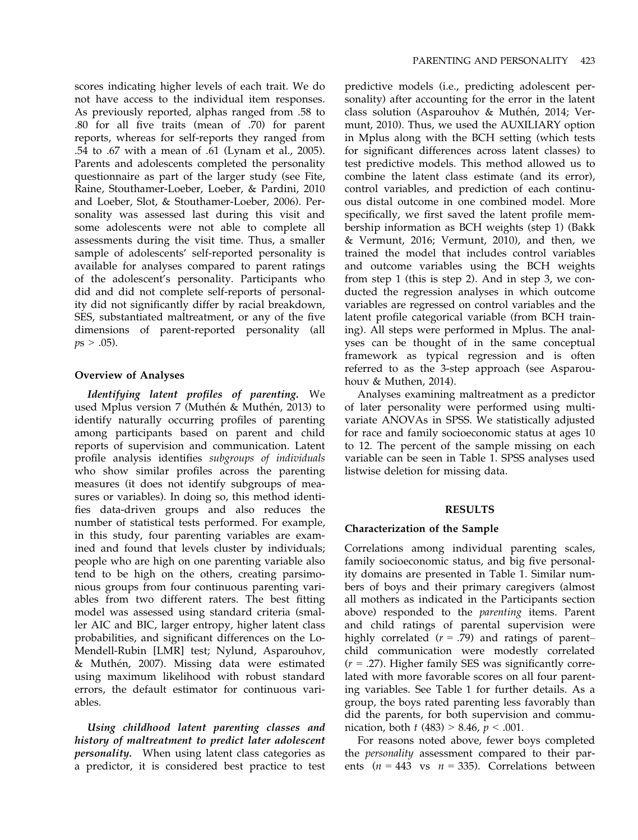scores indicating higher levels of each trait. We do not have access to the individual item responses. As previously reported, alphas ranged from .58 to .80 for all five traits (mean of .70) for parent reports, whereas for self-reports they ranged from .54 to .67 with a mean of .61 (Lynam et al., 2005). Parents and adolescents completed the personality questionnaire as part of the larger study (see Fite, Raine, Stouthamer-Loeber, Loeber, & Pardini, 2010 and Loeber, Slot, & Stouthamer-Loeber, 2006). Personality was assessed last during this visit and some adolescents were not able to complete all assessments during the visit time. Thus, a smaller sample of adolescents' self-reported personality is available for analyses compared to parent ratings of the adolescent's personality. Participants who did and did not complete self-reports of personality did not significantly differ by racial breakdown, SES, substantiated maltreatment, or any of the five dimensions of parent-reported personality (all  $ps > .05$ ).

### Overview of Analyses

Identifying latent profiles of parenting. We used Mplus version 7 (Muthén & Muthén, 2013) to identify naturally occurring profiles of parenting among participants based on parent and child reports of supervision and communication. Latent profile analysis identifies subgroups of individuals who show similar profiles across the parenting measures (it does not identify subgroups of measures or variables). In doing so, this method identifies data-driven groups and also reduces the number of statistical tests performed. For example, in this study, four parenting variables are examined and found that levels cluster by individuals; people who are high on one parenting variable also tend to be high on the others, creating parsimonious groups from four continuous parenting variables from two different raters. The best fitting model was assessed using standard criteria (smaller AIC and BIC, larger entropy, higher latent class probabilities, and significant differences on the Lo-Mendell-Rubin [LMR] test; Nylund, Asparouhov, & Muthén, 2007). Missing data were estimated using maximum likelihood with robust standard errors, the default estimator for continuous variables.

Using childhood latent parenting classes and history of maltreatment to predict later adolescent personality. When using latent class categories as a predictor, it is considered best practice to test

predictive models (i.e., predicting adolescent personality) after accounting for the error in the latent class solution (Asparouhov & Muthén, 2014; Vermunt, 2010). Thus, we used the AUXILIARY option in Mplus along with the BCH setting (which tests for significant differences across latent classes) to test predictive models. This method allowed us to combine the latent class estimate (and its error), control variables, and prediction of each continuous distal outcome in one combined model. More specifically, we first saved the latent profile membership information as BCH weights (step 1) (Bakk & Vermunt, 2016; Vermunt, 2010), and then, we trained the model that includes control variables and outcome variables using the BCH weights from step 1 (this is step 2). And in step 3, we conducted the regression analyses in which outcome variables are regressed on control variables and the latent profile categorical variable (from BCH training). All steps were performed in Mplus. The analyses can be thought of in the same conceptual framework as typical regression and is often referred to as the 3-step approach (see Asparouhouv & Muthen, 2014).

Analyses examining maltreatment as a predictor of later personality were performed using multivariate ANOVAs in SPSS. We statistically adjusted for race and family socioeconomic status at ages 10 to 12. The percent of the sample missing on each variable can be seen in Table 1. SPSS analyses used listwise deletion for missing data.

## RESULTS

## Characterization of the Sample

Correlations among individual parenting scales, family socioeconomic status, and big five personality domains are presented in Table 1. Similar numbers of boys and their primary caregivers (almost all mothers as indicated in the Participants section above) responded to the parenting items. Parent and child ratings of parental supervision were highly correlated ( $r = .79$ ) and ratings of parent– child communication were modestly correlated  $(r = .27)$ . Higher family SES was significantly correlated with more favorable scores on all four parenting variables. See Table 1 for further details. As a group, the boys rated parenting less favorably than did the parents, for both supervision and communication, both  $t$  (483) > 8.46,  $p < .001$ .

For reasons noted above, fewer boys completed the *personality* assessment compared to their parents ( $n = 443$  vs  $n = 335$ ). Correlations between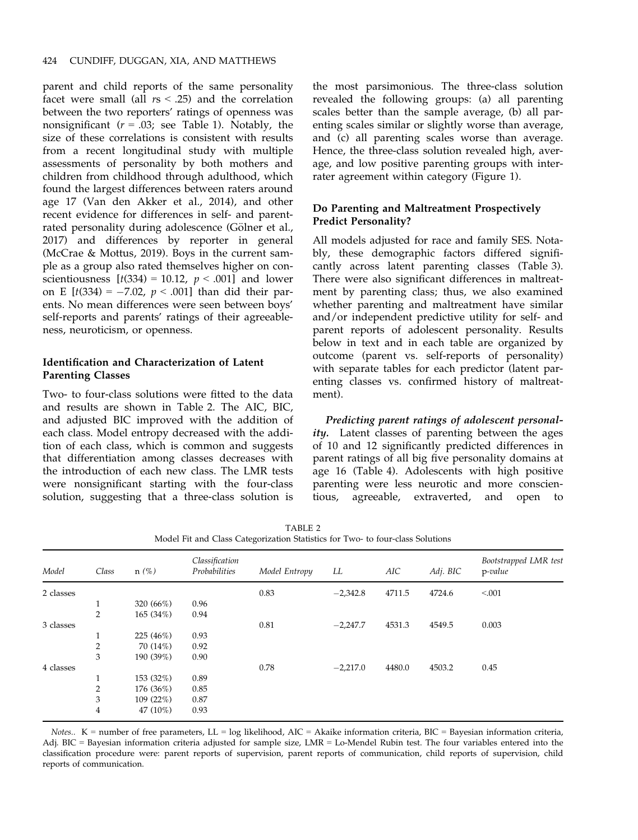parent and child reports of the same personality facet were small (all  $rs < .25$ ) and the correlation between the two reporters' ratings of openness was nonsignificant ( $r = .03$ ; see Table 1). Notably, the size of these correlations is consistent with results from a recent longitudinal study with multiple assessments of personality by both mothers and children from childhood through adulthood, which found the largest differences between raters around age 17 (Van den Akker et al., 2014), and other recent evidence for differences in self- and parentrated personality during adolescence (Gölner et al., 2017) and differences by reporter in general (McCrae & Mottus, 2019). Boys in the current sample as a group also rated themselves higher on conscientiousness  $[t(334) = 10.12, p < .001]$  and lower on E  $[t(334) = -7.02, p < .001]$  than did their parents. No mean differences were seen between boys' self-reports and parents' ratings of their agreeableness, neuroticism, or openness.

## Identification and Characterization of Latent Parenting Classes

Two- to four-class solutions were fitted to the data and results are shown in Table 2. The AIC, BIC, and adjusted BIC improved with the addition of each class. Model entropy decreased with the addition of each class, which is common and suggests that differentiation among classes decreases with the introduction of each new class. The LMR tests were nonsignificant starting with the four-class solution, suggesting that a three-class solution is

the most parsimonious. The three-class solution revealed the following groups: (a) all parenting scales better than the sample average, (b) all parenting scales similar or slightly worse than average, and (c) all parenting scales worse than average. Hence, the three-class solution revealed high, average, and low positive parenting groups with interrater agreement within category (Figure 1).

## Do Parenting and Maltreatment Prospectively Predict Personality?

All models adjusted for race and family SES. Notably, these demographic factors differed significantly across latent parenting classes (Table 3). There were also significant differences in maltreatment by parenting class; thus, we also examined whether parenting and maltreatment have similar and/or independent predictive utility for self- and parent reports of adolescent personality. Results below in text and in each table are organized by outcome (parent vs. self-reports of personality) with separate tables for each predictor (latent parenting classes vs. confirmed history of maltreatment).

Predicting parent ratings of adolescent personality. Latent classes of parenting between the ages of 10 and 12 significantly predicted differences in parent ratings of all big five personality domains at age 16 (Table 4). Adolescents with high positive parenting were less neurotic and more conscientious, agreeable, extraverted, and open to

| Model     | Class          | $n(\%)$   | Classification<br>Probabilities | Model Entropy | LL         | AIC    | Adj. BIC | Bootstrapped LMR test<br>p-value |
|-----------|----------------|-----------|---------------------------------|---------------|------------|--------|----------|----------------------------------|
| 2 classes |                |           |                                 | 0.83          | $-2,342.8$ | 4711.5 | 4724.6   | < 0.001                          |
|           | $\mathbf{r}$   | 320 (66%) | 0.96                            |               |            |        |          |                                  |
|           | $\overline{2}$ | 165(34%)  | 0.94                            |               |            |        |          |                                  |
| 3 classes |                |           |                                 | 0.81          | $-2,247.7$ | 4531.3 | 4549.5   | 0.003                            |
|           | $\mathbf{1}$   | 225 (46%) | 0.93                            |               |            |        |          |                                  |
|           | 2              | 70 (14%)  | 0.92                            |               |            |        |          |                                  |
|           | 3              | 190 (39%) | 0.90                            |               |            |        |          |                                  |
| 4 classes |                |           |                                 | 0.78          | $-2,217.0$ | 4480.0 | 4503.2   | 0.45                             |
|           | 1              | 153 (32%) | 0.89                            |               |            |        |          |                                  |
|           | 2              | 176 (36%) | 0.85                            |               |            |        |          |                                  |
|           | 3              | 109(22%)  | 0.87                            |               |            |        |          |                                  |
|           | 4              | 47 (10%)  | 0.93                            |               |            |        |          |                                  |

TABLE 2 Model Fit and Class Categorization Statistics for Two- to four-class Solutions

Notes.. K = number of free parameters, LL = log likelihood, AIC = Akaike information criteria, BIC = Bayesian information criteria, Adj. BIC = Bayesian information criteria adjusted for sample size, LMR = Lo-Mendel Rubin test. The four variables entered into the classification procedure were: parent reports of supervision, parent reports of communication, child reports of supervision, child reports of communication.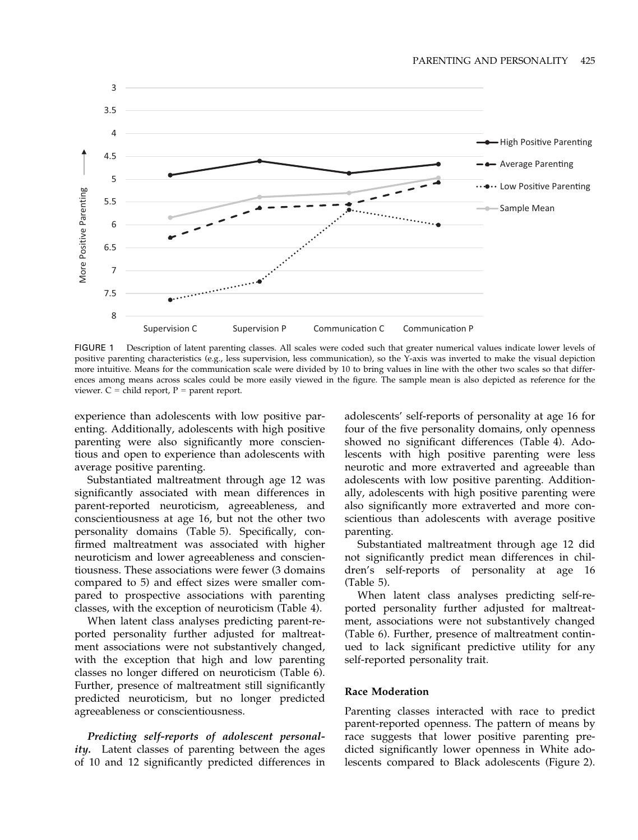

FIGURE 1 Description of latent parenting classes. All scales were coded such that greater numerical values indicate lower levels of positive parenting characteristics (e.g., less supervision, less communication), so the Y-axis was inverted to make the visual depiction more intuitive. Means for the communication scale were divided by 10 to bring values in line with the other two scales so that differences among means across scales could be more easily viewed in the figure. The sample mean is also depicted as reference for the viewer.  $C =$  child report,  $P =$  parent report.

experience than adolescents with low positive parenting. Additionally, adolescents with high positive parenting were also significantly more conscientious and open to experience than adolescents with average positive parenting.

Substantiated maltreatment through age 12 was significantly associated with mean differences in parent-reported neuroticism, agreeableness, and conscientiousness at age 16, but not the other two personality domains (Table 5). Specifically, confirmed maltreatment was associated with higher neuroticism and lower agreeableness and conscientiousness. These associations were fewer (3 domains compared to 5) and effect sizes were smaller compared to prospective associations with parenting classes, with the exception of neuroticism (Table 4).

When latent class analyses predicting parent-reported personality further adjusted for maltreatment associations were not substantively changed, with the exception that high and low parenting classes no longer differed on neuroticism (Table 6). Further, presence of maltreatment still significantly predicted neuroticism, but no longer predicted agreeableness or conscientiousness.

Predicting self-reports of adolescent personality. Latent classes of parenting between the ages of 10 and 12 significantly predicted differences in adolescents' self-reports of personality at age 16 for four of the five personality domains, only openness showed no significant differences (Table 4). Adolescents with high positive parenting were less neurotic and more extraverted and agreeable than adolescents with low positive parenting. Additionally, adolescents with high positive parenting were also significantly more extraverted and more conscientious than adolescents with average positive parenting.

Substantiated maltreatment through age 12 did not significantly predict mean differences in children's self-reports of personality at age 16 (Table 5).

When latent class analyses predicting self-reported personality further adjusted for maltreatment, associations were not substantively changed (Table 6). Further, presence of maltreatment continued to lack significant predictive utility for any self-reported personality trait.

## Race Moderation

Parenting classes interacted with race to predict parent-reported openness. The pattern of means by race suggests that lower positive parenting predicted significantly lower openness in White adolescents compared to Black adolescents (Figure 2).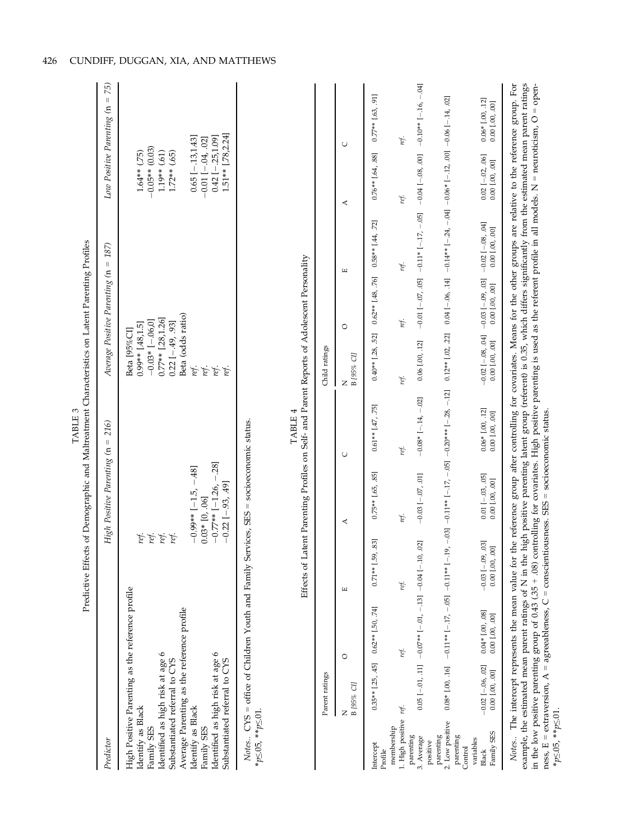|                                                  | Predictive Effects of Demographic and Maltreatment Characteristics on Latent Parenting Profiles |                                        |                                   |
|--------------------------------------------------|-------------------------------------------------------------------------------------------------|----------------------------------------|-----------------------------------|
| Predictor                                        | High Positive Parenting $(n = 216)$                                                             | Average Positive Parenting $(n = 187)$ | Low Positive Parenting $(n = 75)$ |
| High Positive Parenting as the reference profile |                                                                                                 | Beta [95%CI]                           |                                   |
| Identify as Black                                |                                                                                                 | $0.99**$ [.48,1.5]                     | $1.64**$ (.75)                    |
| Family SES                                       | ret                                                                                             | $-0.03*$ [ $-.06,0$ ]                  | $-0.05**$ (0.03)                  |
| Identified as high risk at age 6                 | reț                                                                                             | $0.77**$ [.28,1.26]                    | $1.19***$ (.61)                   |
| Substantiated referral to CYS                    | ret.                                                                                            | $0.22[-49, 93]$                        | $1.72**$ (.65)                    |
| Average Parenting as the reference profile       |                                                                                                 | Beta (odds ratio)                      |                                   |
| Identify as Black                                | $-0.99**$ [-1.5, -48]                                                                           | ret.                                   | $0.65[-13,1.43]$                  |
| Family SES                                       | $0.03*$ [0, 06]                                                                                 |                                        | $-0.01$ [ $-0.04$ , 02]           |
| Identified as high risk at age 6                 | $-0.77***$ [-1.26, -.28]                                                                        |                                        | $0.42$ [ $-25,1.09$ ]             |
| Substantiated referral to CYS                    | $-0.22$ [ $-93, 49$ ]                                                                           |                                        | 1.51** [.78,2.24]                 |

Notes... CYS = office of Children Youth and Family Services, SES = socioeconomic status. Notes.. CYS = office of Children Youth and Family Services, SES = socioeconomic status.  $*_{p \leq .05}$ ,  $*_{p \leq .01}$ . \*p≤.05, \*\*p≤.01.

|                                             | Parent ratings                                                     |                                                               |                                                                                                                                                                                                                                                                                                                    |                                                  |                                           | Child ratings          |                                                                                      |                     |                                         |                                             |
|---------------------------------------------|--------------------------------------------------------------------|---------------------------------------------------------------|--------------------------------------------------------------------------------------------------------------------------------------------------------------------------------------------------------------------------------------------------------------------------------------------------------------------|--------------------------------------------------|-------------------------------------------|------------------------|--------------------------------------------------------------------------------------|---------------------|-----------------------------------------|---------------------------------------------|
|                                             | B [95% CI]                                                         |                                                               |                                                                                                                                                                                                                                                                                                                    |                                                  |                                           | B [95% CI]<br>z        |                                                                                      | <u>[r]</u>          |                                         |                                             |
| Intercept<br>Profile                        |                                                                    | $0.35**$ [.25, .45] $0.62**$ [.50, .74]                       | $0.71**$ [.59, .83]                                                                                                                                                                                                                                                                                                | $0.75**$ [.65, .85]                              | $0.61**$ [.47, .75]                       |                        | $0.40**$ [.28, .52] $0.62**$ [.48, .76] $0.58**$ [.44, .72]                          |                     | $0.76**$ [.64, .88] $0.77**$ [.63, .91] |                                             |
| High positive ref.<br>membership            |                                                                    | ref.                                                          | ref.                                                                                                                                                                                                                                                                                                               | ref.                                             | ret.                                      | ref.                   | ret.                                                                                 | ret.                | ret.                                    |                                             |
| parenting<br>Average<br>positive            |                                                                    | $0.05$ [-.01, 11] $-0.07$ - $-0.3$ ] $-0.04$ [-.10, 0.0, 0.0] |                                                                                                                                                                                                                                                                                                                    | $-0.03$ [ $-0.07, 01$ ]                          | $-0.08*$ [ $-.14$ , $-.02$ ]              |                        |                                                                                      |                     |                                         |                                             |
| 2. Low positive<br>parenting<br>parenting   |                                                                    |                                                               | $[00] \begin{bmatrix} 001 & 01 & 0 \\ 001 & 0 & 0 \\ 001 & 0 & 0 \\ 001 & 0 & 0 \\ 001 & 0 & 0 \\ 001 & 0 & 0 \\ 001 & 0 & 0 \\ 001 & 0 & 0 \\ 011 & 0 & 0 \\ 012 & 0 & 0 \\ 013 & 0 & 0 & 0 \\ 014 & 0 & 0 & 0 \\ 015 & 0 & 0 & 0 \\ 016 & 0 & 0 & 0 \\ 017 & 0 & 0 & 0 \\ 018 & 0 & 0 & 0 \\ 019 & 0 & 0 & 0 & $ |                                                  |                                           |                        |                                                                                      |                     |                                         |                                             |
| Family SES<br>variables<br>Control<br>Black | $-0.02$ [ $-0.06$ , .02] $0.04*$ [.00, .08]<br>$0.00$ $[.00, .00]$ | $0.00$ $[.00, .00]$                                           | $-0.03$ [ $-0.09$ , 03]<br>$\overline{[00]}$<br>$0.00$ $[.00,$                                                                                                                                                                                                                                                     | $0.01$ [ $-0.03$ , $.05$ ]<br>$0.00$ $[.00, 00]$ | $0.06*$ [.00, .12]<br>$0.00$ $[.00, .00]$ | $0.00$ $1.00$ , $0.00$ | $-0.02[-0.05, 0.04]$ $-0.03[-0.05, 0.02]$ $-0.02[-0.05, 0.04]$<br>$0.00$ $[.00, 00]$ | $0.00$ $[.00, .00]$ | $0.02$ [-.02, .06]<br>0.00 [.00, .00]   | $0.06*$ $[.00, .12]$<br>$0.00$ $[.00, .00]$ |
|                                             |                                                                    |                                                               | Notes The intercept represents the mean value for the reference group after controlling for covariates. Means for the other groups are relative to the reference group. For                                                                                                                                        |                                                  |                                           |                        |                                                                                      |                     |                                         |                                             |

*Notes*.. The intercept represents the mean value for the reference group after controlling for covariates. Means for the other groups are relative to the reference group. For example, the estimated mean parent ratings of example, the estimated mean parent ratings of N in the high positive parenting latent group (referent) is 0.35, which differs significantly from the estimated mean parent ratings in the low positive parenting group of 0.43 (.35 + .08) controlling for covariates. High positive parenting is used as the referent profile in all models. N = neuroticism, O = openness,  $E = extraversion$ ,  $A = agreedbleness$ ,  $C = const$ conscientiousness. SES = socioeconomic status. \*p≤.05, \*\*p≤.01.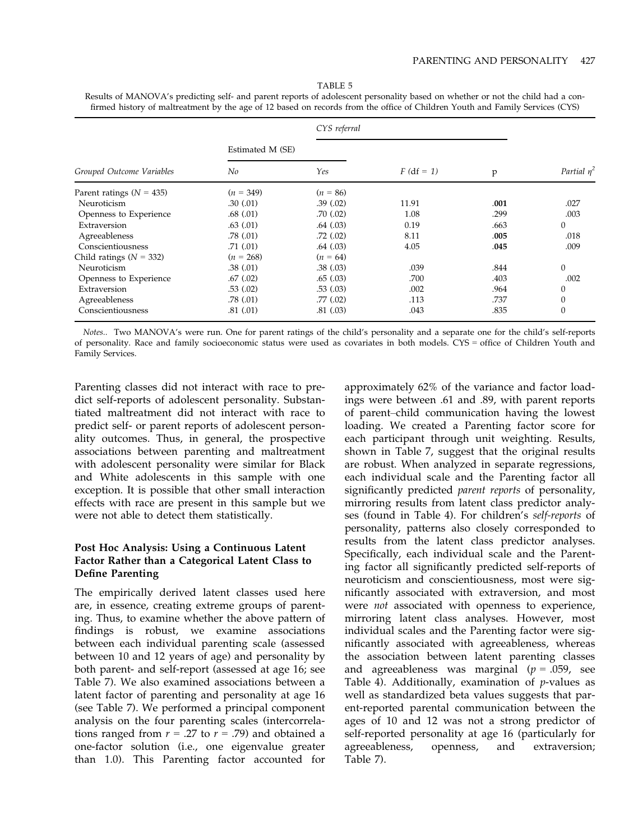TABLE 5 Results of MANOVA's predicting self- and parent reports of adolescent personality based on whether or not the child had a con-

firmed history of maltreatment by the age of 12 based on records from the office of Children Youth and Family Services (CYS) CYS referral Estimated M (SE)  $N_o$   $Yes$   $F (df = 1)$  p

| Grouped Outcome Variables  | No          | Yes        | $F$ (df = 1) | p    | Partial $n^2$ |
|----------------------------|-------------|------------|--------------|------|---------------|
| Parent ratings $(N = 435)$ | $(n = 349)$ | $(n = 86)$ |              |      |               |
| Neuroticism                | .30(.01)    | .39(.02)   | 11.91        | .001 | .027          |
| Openness to Experience     | .68(.01)    | .70(.02)   | 1.08         | .299 | .003          |
| Extraversion               | .63(.01)    | .64(.03)   | 0.19         | .663 | 0             |
| Agreeableness              | .78(.01)    | .72(.02)   | 8.11         | .005 | .018          |
| Conscientiousness          | .71(.01)    | .64(.03)   | 4.05         | .045 | .009          |
| Child ratings $(N = 332)$  | $(n = 268)$ | $(n = 64)$ |              |      |               |
| Neuroticism                | .38(.01)    | .38(.03)   | .039         | .844 | $\Omega$      |
| Openness to Experience     | .67(.02)    | .65(.03)   | .700         | .403 | .002          |
| Extraversion               | .53(.02)    | .53(.03)   | .002         | .964 | 0             |
| Agreeableness              | .78(.01)    | .77(02)    | .113         | .737 |               |
| Conscientiousness          | .81(.01)    | .81(.03)   | .043         | .835 | $\mathbf{0}$  |

Notes.. Two MANOVA's were run. One for parent ratings of the child's personality and a separate one for the child's self-reports of personality. Race and family socioeconomic status were used as covariates in both models. CYS = office of Children Youth and Family Services.

Parenting classes did not interact with race to predict self-reports of adolescent personality. Substantiated maltreatment did not interact with race to predict self- or parent reports of adolescent personality outcomes. Thus, in general, the prospective associations between parenting and maltreatment with adolescent personality were similar for Black and White adolescents in this sample with one exception. It is possible that other small interaction effects with race are present in this sample but we were not able to detect them statistically.

## Post Hoc Analysis: Using a Continuous Latent Factor Rather than a Categorical Latent Class to Define Parenting

The empirically derived latent classes used here are, in essence, creating extreme groups of parenting. Thus, to examine whether the above pattern of findings is robust, we examine associations between each individual parenting scale (assessed between 10 and 12 years of age) and personality by both parent- and self-report (assessed at age 16; see Table 7). We also examined associations between a latent factor of parenting and personality at age 16 (see Table 7). We performed a principal component analysis on the four parenting scales (intercorrelations ranged from  $r = .27$  to  $r = .79$ ) and obtained a one-factor solution (i.e., one eigenvalue greater than 1.0). This Parenting factor accounted for

approximately 62% of the variance and factor loadings were between .61 and .89, with parent reports of parent–child communication having the lowest loading. We created a Parenting factor score for each participant through unit weighting. Results, shown in Table 7, suggest that the original results are robust. When analyzed in separate regressions, each individual scale and the Parenting factor all significantly predicted parent reports of personality, mirroring results from latent class predictor analyses (found in Table 4). For children's self-reports of personality, patterns also closely corresponded to results from the latent class predictor analyses. Specifically, each individual scale and the Parenting factor all significantly predicted self-reports of neuroticism and conscientiousness, most were significantly associated with extraversion, and most were not associated with openness to experience, mirroring latent class analyses. However, most individual scales and the Parenting factor were significantly associated with agreeableness, whereas the association between latent parenting classes and agreeableness was marginal ( $p = .059$ , see Table 4). Additionally, examination of  $p$ -values as well as standardized beta values suggests that parent-reported parental communication between the ages of 10 and 12 was not a strong predictor of self-reported personality at age 16 (particularly for agreeableness, openness, and extraversion; Table 7).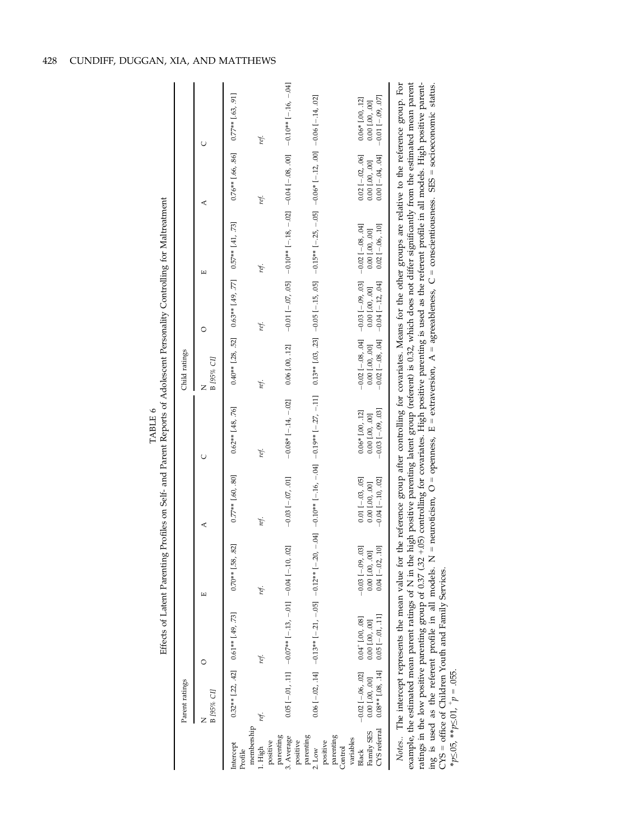|                                                                          | Parent ratings                                                        |                                                                                                                                                                                                                                                                    |                                                                        |                                                                      |                                                                                                                                                                                                                                                                                                           | Child ratings                                                                                                                              |                                                             |                                               |                                                                   |                                                                        |
|--------------------------------------------------------------------------|-----------------------------------------------------------------------|--------------------------------------------------------------------------------------------------------------------------------------------------------------------------------------------------------------------------------------------------------------------|------------------------------------------------------------------------|----------------------------------------------------------------------|-----------------------------------------------------------------------------------------------------------------------------------------------------------------------------------------------------------------------------------------------------------------------------------------------------------|--------------------------------------------------------------------------------------------------------------------------------------------|-------------------------------------------------------------|-----------------------------------------------|-------------------------------------------------------------------|------------------------------------------------------------------------|
|                                                                          | B [95% CI]<br>Z                                                       |                                                                                                                                                                                                                                                                    | ш                                                                      | ⋖                                                                    |                                                                                                                                                                                                                                                                                                           | B [95% CI]<br>Z                                                                                                                            | с                                                           | ш                                             | ⋖                                                                 |                                                                        |
| Intercept<br>Profile                                                     |                                                                       | $0.32**$ [.22, .42] $0.61**$ [.49, .73]                                                                                                                                                                                                                            | $0.70**$ [.58, .82]                                                    | $0.77**$ [.60, .80]                                                  | $0.62**$ [.48, .76]                                                                                                                                                                                                                                                                                       |                                                                                                                                            | $0.40**$ [.28, .52] $0.63**$ [.49, .77] $0.57**$ [.41, .73] |                                               | $0.76**$ [.66, .86] $0.77**$ [.63, .91]                           |                                                                        |
| membership<br>positive<br>1. High                                        | ref.                                                                  | ref.                                                                                                                                                                                                                                                               | ref.                                                                   | ref.                                                                 | ref.                                                                                                                                                                                                                                                                                                      | ref.                                                                                                                                       | ref.                                                        | ref.                                          | ref.                                                              | ref.                                                                   |
| 3. Average<br>parenting<br>positive                                      |                                                                       | $0.05$ [-.01, .11] $-0.07**$ [-.13, -.01] $-0.04$ [-.10, .02]                                                                                                                                                                                                      |                                                                        | $-0.03$ [ $-0.07$ , 01]                                              | $\frac{1}{100}$ $\frac{1}{100}$ $\frac{1}{100}$ $\frac{1}{100}$ $\frac{1}{100}$ $\frac{1}{100}$ $\frac{1}{100}$ $\frac{1}{100}$ $\frac{1}{100}$ $\frac{1}{100}$ $\frac{1}{100}$ $\frac{1}{100}$ $\frac{1}{100}$ $\frac{1}{100}$ $\frac{1}{100}$ $\frac{1}{100}$ $\frac{1}{100}$ $\frac{1}{100}$ $\frac{1$ |                                                                                                                                            |                                                             |                                               |                                                                   |                                                                        |
| parenting<br>positive<br>2. Low                                          |                                                                       | $0.04 - 0.04 - 0.05 - 0.07 - 0.07 - 0.04 - 0.04 - 0.04 - 0.04 - 0.04 - 0.04 - 0.04 - 0.04 - 0.04 - 0.04 - 0.04 - 0.04 - 0.04 - 0.04 - 0.04 - 0.04 - 0.04 - 0.04 - 0.04 - 0.04 - 0.04 - 0.04 - 0.04 - 0.04 - 0.04 - 0.04 - 0.04 - 0.04 - 0.04 - 0.04 - 0.04 - 0.04$ |                                                                        |                                                                      |                                                                                                                                                                                                                                                                                                           |                                                                                                                                            |                                                             |                                               |                                                                   |                                                                        |
| Family SES<br>CYS referral<br>parenting<br>variables<br>Control<br>Black | $0.08**$ [.08, .14]<br>$-0.02$ [ $-0.06$ , 02]<br>$0.00$ $[.00, .00]$ | $0.05$ [ $-01, 11$ ]<br>$0.04$ <sup>+</sup> [.00, .08]<br>$0.00$ $[.00, .00]$                                                                                                                                                                                      | $0.04$ [ $-.02, .10$ ]<br>$-0.03$ $[-.09, .03]$<br>$0.00$ $[.00, .00]$ | $0.01$ $[-.03, .05]$<br>$-0.04$ [ $-10$ , 02]<br>$0.00$ $[.00, .00]$ | $-0.03$ $[-.09, .03]$<br>$0.06*$ [.00, .12]<br>$0.00$ $[.00, .00]$                                                                                                                                                                                                                                        | $-0.02[-0.08, 04]$ $-0.03[-0.05, 0.02]$ $-0.02[-0.08, 04]$<br>$-0.02$ [ $-.08$ , $.04$ ] $-0.04$ [ $-.12$ , $.04$ ]<br>$0.00$ $[.00, .00]$ | $0.00$ $[.00, .00]$                                         | $0.02$ [ $-.06, .10$ ]<br>$0.00$ $[.00, .00]$ | $0.02$ [ $-.02, .06$ ]<br>$0.00[-.04, .04]$<br>$0.00$ $[.00, 00]$ | $-0.01$ [ $-0.09$ , 07]<br>$0.06*$ $[.00, .12]$<br>$0.00$ $[.00, .00]$ |
|                                                                          |                                                                       | a life the second water that the company waves were company to the company of the company of the company of the company of the company of the company of the company of the company of the company of the company of the compa                                     |                                                                        |                                                                      |                                                                                                                                                                                                                                                                                                           |                                                                                                                                            |                                                             |                                               |                                                                   |                                                                        |

ratings in the low positive parenting group of 0.37 (.32 +.05) controlling for covariates. High positive parenting is used as the referent profile in all models. High positive parent-<br>ing is used as the referent profile i example, the estimated mean parent ratings of N in the high positive parenting latent group (referent) is 0.32, which does not differ significantly from the estimated mean parent The intercept represents the mean value for the reference group after controlling for covariates. Means for the other groups are relative to the reference group. For Notes.. The intercept represents the mean value for the reference group after controlling for covariates. Means for the other groups are relative to the reference group. For example, the estimated mean parent ratings of N in the high positive parenting latent group (referent) is 0.32, which does not differ significantly from the estimated mean parent ratings in the low positive parenting group of 0.37 (.32 +.05) controlling for covariates. High positive parenting is used as the referent profile in all models. High positive parenting is used as the referent profile in all models. N = neuroticism, O = openness, E = extraversion, A = agreeableness, C = conscientiousness. SES = socioeconomic status. CYS = office of Children Youth and Family Services. \*p≤.05, \*\*p≤.01, + NOtes..

 $p = .055.$ 

## 428 CUNDIFF, DUGGAN, XIA, AND MATTHEWS

TABLE 6 Effects of Latent Parenting Profiles on Self- and Parent Reports of Adolescent Personality Controlling for Maltreatment

Effects of Latent Parenting Profiles on Self- and Parent Reports of Adolescent Personality Controlling for Maltreatment TABLE 6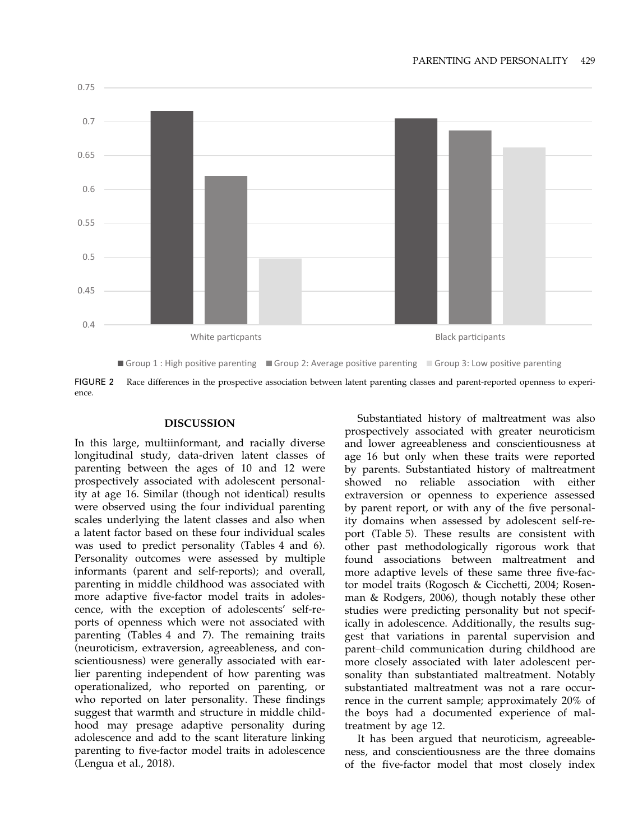

Group 1 : High position is the position of the state of the state of the state of the state of the state of the state of the state of the state of the state of the state of the state of the state of the state of the state ve parenng Group 2: Average positive positive positive positive positive positive positive positive positive positive p<br>Setting positive positive positive positive positive positive positive positive positive positive positive pos ve parenng Group 3: Low position and position and position in the set of the set of the set of the set of the set of the set of the set of the set of the set of the set of the set of the set of the set of the set of the set of the ve parenng

FIGURE 2 Race differences in the prospective association between latent parenting classes and parent-reported openness to experience.

#### DISCUSSION

In this large, multiinformant, and racially diverse longitudinal study, data-driven latent classes of parenting between the ages of 10 and 12 were prospectively associated with adolescent personality at age 16. Similar (though not identical) results were observed using the four individual parenting scales underlying the latent classes and also when a latent factor based on these four individual scales was used to predict personality (Tables 4 and 6). Personality outcomes were assessed by multiple informants (parent and self-reports); and overall, parenting in middle childhood was associated with more adaptive five-factor model traits in adolescence, with the exception of adolescents' self-reports of openness which were not associated with parenting (Tables 4 and 7). The remaining traits (neuroticism, extraversion, agreeableness, and conscientiousness) were generally associated with earlier parenting independent of how parenting was operationalized, who reported on parenting, or who reported on later personality. These findings suggest that warmth and structure in middle childhood may presage adaptive personality during adolescence and add to the scant literature linking parenting to five-factor model traits in adolescence (Lengua et al., 2018).

Substantiated history of maltreatment was also prospectively associated with greater neuroticism and lower agreeableness and conscientiousness at age 16 but only when these traits were reported by parents. Substantiated history of maltreatment showed no reliable association with either extraversion or openness to experience assessed by parent report, or with any of the five personality domains when assessed by adolescent self-report (Table 5). These results are consistent with other past methodologically rigorous work that found associations between maltreatment and more adaptive levels of these same three five-factor model traits (Rogosch & Cicchetti, 2004; Rosenman & Rodgers, 2006), though notably these other studies were predicting personality but not specifically in adolescence. Additionally, the results suggest that variations in parental supervision and parent–child communication during childhood are more closely associated with later adolescent personality than substantiated maltreatment. Notably substantiated maltreatment was not a rare occurrence in the current sample; approximately 20% of the boys had a documented experience of maltreatment by age 12.

It has been argued that neuroticism, agreeableness, and conscientiousness are the three domains of the five-factor model that most closely index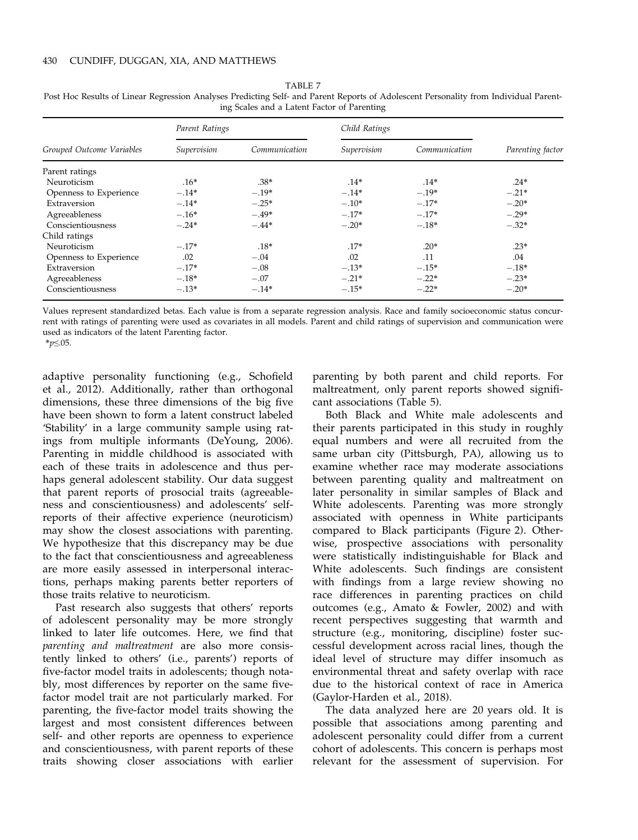|                           | Parent Ratings |               | Child Ratings |               |                  |
|---------------------------|----------------|---------------|---------------|---------------|------------------|
| Grouped Outcome Variables | Supervision    | Communication | Supervision   | Communication | Parenting factor |
| Parent ratings            |                |               |               |               |                  |
| Neuroticism               | $.16*$         | $.38*$        | $.14*$        | $.14*$        | $.24*$           |
| Openness to Experience    | $-.14*$        | $-.19*$       | $-.14*$       | $-.19*$       | $-.21*$          |
| Extraversion              | $-.14*$        | $-.25*$       | $-.10*$       | $-.17*$       | $-.20*$          |
| Agreeableness             | $-.16*$        | $-.49*$       | $-.17*$       | $-.17*$       | $-.29*$          |
| Conscientiousness         | $-.24*$        | $-.44*$       | $-.20*$       | $-.18*$       | $-.32*$          |
| Child ratings             |                |               |               |               |                  |
| Neuroticism               | $-.17*$        | $.18*$        | $.17*$        | $.20*$        | $.23*$           |
| Openness to Experience    | .02            | $-.04$        | .02           | .11           | .04              |
| Extraversion              | $-.17*$        | $-.08$        | $-.13*$       | $-.15*$       | $-.18*$          |
| Agreeableness             | $-.18*$        | $-.07$        | $-.21*$       | $-.22*$       | $-.23*$          |
| Conscientiousness         | $-.13*$        | $-.14*$       | $-.15*$       | $-.22*$       | $-.20*$          |

TABLE 7 Post Hoc Results of Linear Regression Analyses Predicting Self- and Parent Reports of Adolescent Personality from Individual Parenting Scales and a Latent Factor of Parenting

Values represent standardized betas. Each value is from a separate regression analysis. Race and family socioeconomic status concurrent with ratings of parenting were used as covariates in all models. Parent and child ratings of supervision and communication were used as indicators of the latent Parenting factor.

\*p≤.05.

adaptive personality functioning (e.g., Schofield et al., 2012). Additionally, rather than orthogonal dimensions, these three dimensions of the big five have been shown to form a latent construct labeled 'Stability' in a large community sample using ratings from multiple informants (DeYoung, 2006). Parenting in middle childhood is associated with each of these traits in adolescence and thus perhaps general adolescent stability. Our data suggest that parent reports of prosocial traits (agreeableness and conscientiousness) and adolescents' selfreports of their affective experience (neuroticism) may show the closest associations with parenting. We hypothesize that this discrepancy may be due to the fact that conscientiousness and agreeableness are more easily assessed in interpersonal interactions, perhaps making parents better reporters of those traits relative to neuroticism.

Past research also suggests that others' reports of adolescent personality may be more strongly linked to later life outcomes. Here, we find that parenting and maltreatment are also more consistently linked to others' (i.e., parents') reports of five-factor model traits in adolescents; though notably, most differences by reporter on the same fivefactor model trait are not particularly marked. For parenting, the five-factor model traits showing the largest and most consistent differences between self- and other reports are openness to experience and conscientiousness, with parent reports of these traits showing closer associations with earlier

parenting by both parent and child reports. For maltreatment, only parent reports showed significant associations (Table 5).

Both Black and White male adolescents and their parents participated in this study in roughly equal numbers and were all recruited from the same urban city (Pittsburgh, PA), allowing us to examine whether race may moderate associations between parenting quality and maltreatment on later personality in similar samples of Black and White adolescents. Parenting was more strongly associated with openness in White participants compared to Black participants (Figure 2). Otherwise, prospective associations with personality were statistically indistinguishable for Black and White adolescents. Such findings are consistent with findings from a large review showing no race differences in parenting practices on child outcomes (e.g., Amato & Fowler, 2002) and with recent perspectives suggesting that warmth and structure (e.g., monitoring, discipline) foster successful development across racial lines, though the ideal level of structure may differ insomuch as environmental threat and safety overlap with race due to the historical context of race in America (Gaylor-Harden et al., 2018).

The data analyzed here are 20 years old. It is possible that associations among parenting and adolescent personality could differ from a current cohort of adolescents. This concern is perhaps most relevant for the assessment of supervision. For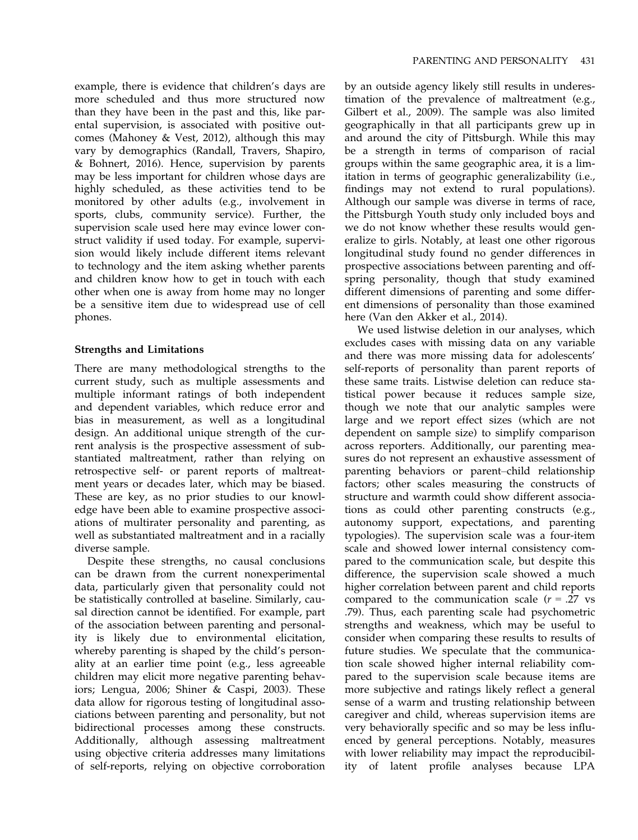example, there is evidence that children's days are more scheduled and thus more structured now than they have been in the past and this, like parental supervision, is associated with positive outcomes (Mahoney & Vest, 2012), although this may vary by demographics (Randall, Travers, Shapiro, & Bohnert, 2016). Hence, supervision by parents may be less important for children whose days are highly scheduled, as these activities tend to be monitored by other adults (e.g., involvement in sports, clubs, community service). Further, the supervision scale used here may evince lower construct validity if used today. For example, supervision would likely include different items relevant to technology and the item asking whether parents and children know how to get in touch with each other when one is away from home may no longer be a sensitive item due to widespread use of cell phones.

## Strengths and Limitations

There are many methodological strengths to the current study, such as multiple assessments and multiple informant ratings of both independent and dependent variables, which reduce error and bias in measurement, as well as a longitudinal design. An additional unique strength of the current analysis is the prospective assessment of substantiated maltreatment, rather than relying on retrospective self- or parent reports of maltreatment years or decades later, which may be biased. These are key, as no prior studies to our knowledge have been able to examine prospective associations of multirater personality and parenting, as well as substantiated maltreatment and in a racially diverse sample.

Despite these strengths, no causal conclusions can be drawn from the current nonexperimental data, particularly given that personality could not be statistically controlled at baseline. Similarly, causal direction cannot be identified. For example, part of the association between parenting and personality is likely due to environmental elicitation, whereby parenting is shaped by the child's personality at an earlier time point (e.g., less agreeable children may elicit more negative parenting behaviors; Lengua, 2006; Shiner & Caspi, 2003). These data allow for rigorous testing of longitudinal associations between parenting and personality, but not bidirectional processes among these constructs. Additionally, although assessing maltreatment using objective criteria addresses many limitations of self-reports, relying on objective corroboration

by an outside agency likely still results in underestimation of the prevalence of maltreatment (e.g., Gilbert et al., 2009). The sample was also limited geographically in that all participants grew up in and around the city of Pittsburgh. While this may be a strength in terms of comparison of racial groups within the same geographic area, it is a limitation in terms of geographic generalizability (i.e., findings may not extend to rural populations). Although our sample was diverse in terms of race, the Pittsburgh Youth study only included boys and we do not know whether these results would generalize to girls. Notably, at least one other rigorous longitudinal study found no gender differences in prospective associations between parenting and offspring personality, though that study examined different dimensions of parenting and some different dimensions of personality than those examined here (Van den Akker et al., 2014).

We used listwise deletion in our analyses, which excludes cases with missing data on any variable and there was more missing data for adolescents' self-reports of personality than parent reports of these same traits. Listwise deletion can reduce statistical power because it reduces sample size, though we note that our analytic samples were large and we report effect sizes (which are not dependent on sample size) to simplify comparison across reporters. Additionally, our parenting measures do not represent an exhaustive assessment of parenting behaviors or parent–child relationship factors; other scales measuring the constructs of structure and warmth could show different associations as could other parenting constructs (e.g., autonomy support, expectations, and parenting typologies). The supervision scale was a four-item scale and showed lower internal consistency compared to the communication scale, but despite this difference, the supervision scale showed a much higher correlation between parent and child reports compared to the communication scale  $(r = .27 \text{ vs }$ .79). Thus, each parenting scale had psychometric strengths and weakness, which may be useful to consider when comparing these results to results of future studies. We speculate that the communication scale showed higher internal reliability compared to the supervision scale because items are more subjective and ratings likely reflect a general sense of a warm and trusting relationship between caregiver and child, whereas supervision items are very behaviorally specific and so may be less influenced by general perceptions. Notably, measures with lower reliability may impact the reproducibility of latent profile analyses because LPA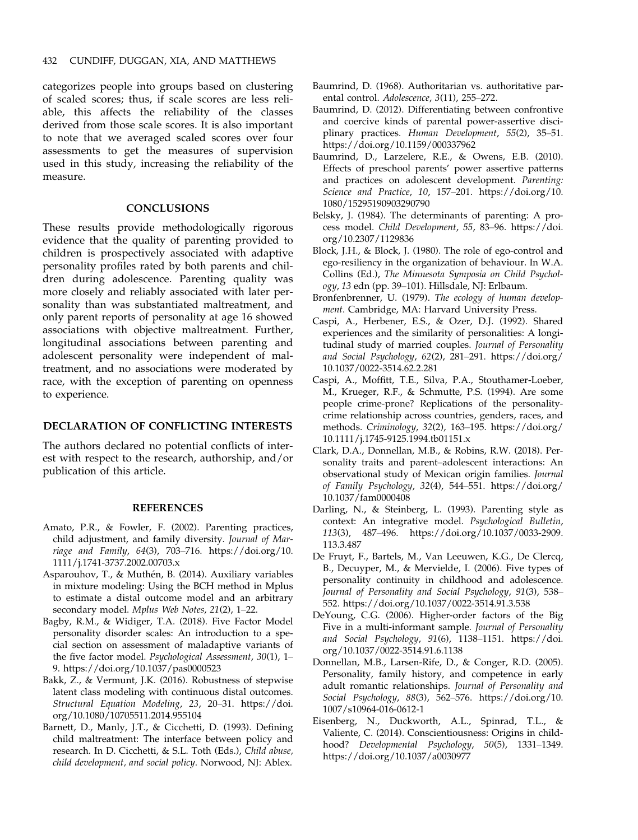categorizes people into groups based on clustering of scaled scores; thus, if scale scores are less reliable, this affects the reliability of the classes derived from those scale scores. It is also important to note that we averaged scaled scores over four assessments to get the measures of supervision used in this study, increasing the reliability of the measure.

#### **CONCLUSIONS**

These results provide methodologically rigorous evidence that the quality of parenting provided to children is prospectively associated with adaptive personality profiles rated by both parents and children during adolescence. Parenting quality was more closely and reliably associated with later personality than was substantiated maltreatment, and only parent reports of personality at age 16 showed associations with objective maltreatment. Further, longitudinal associations between parenting and adolescent personality were independent of maltreatment, and no associations were moderated by race, with the exception of parenting on openness to experience.

## DECLARATION OF CONFLICTING INTERESTS

The authors declared no potential conflicts of interest with respect to the research, authorship, and/or publication of this article.

#### REFERENCES

- Amato, P.R., & Fowler, F. (2002). Parenting practices, child adjustment, and family diversity. Journal of Marriage and Family, 64(3), 703–716. [https://doi.org/10.](https://doi.org/10.1111/j.1741-3737.2002.00703.x) [1111/j.1741-3737.2002.00703.x](https://doi.org/10.1111/j.1741-3737.2002.00703.x)
- Asparouhov, T., & Muthén, B. (2014). Auxiliary variables in mixture modeling: Using the BCH method in Mplus to estimate a distal outcome model and an arbitrary secondary model. Mplus Web Notes, 21(2), 1–22.
- Bagby, R.M., & Widiger, T.A. (2018). Five Factor Model personality disorder scales: An introduction to a special section on assessment of maladaptive variants of the five factor model. Psychological Assessment, 30(1), 1-9.<https://doi.org/10.1037/pas0000523>
- Bakk, Z., & Vermunt, J.K. (2016). Robustness of stepwise latent class modeling with continuous distal outcomes. Structural Equation Modeling, 23, 20–31. [https://doi.](https://doi.org/10.1080/10705511.2014.955104) [org/10.1080/10705511.2014.955104](https://doi.org/10.1080/10705511.2014.955104)
- Barnett, D., Manly, J.T., & Cicchetti, D. (1993). Defining child maltreatment: The interface between policy and research. In D. Cicchetti, & S.L. Toth (Eds.), Child abuse, child development, and social policy. Norwood, NJ: Ablex.
- Baumrind, D. (1968). Authoritarian vs. authoritative parental control. Adolescence, 3(11), 255–272.
- Baumrind, D. (2012). Differentiating between confrontive and coercive kinds of parental power-assertive disciplinary practices. Human Development, 55(2), 35–51. <https://doi.org/10.1159/000337962>
- Baumrind, D., Larzelere, R.E., & Owens, E.B. (2010). Effects of preschool parents' power assertive patterns and practices on adolescent development. Parenting: Science and Practice, 10, 157-201. [https://doi.org/10.](https://doi.org/10.1080/15295190903290790) [1080/15295190903290790](https://doi.org/10.1080/15295190903290790)
- Belsky, J. (1984). The determinants of parenting: A process model. Child Development, 55, 83–96. [https://doi.](https://doi.org/10.2307/1129836) [org/10.2307/1129836](https://doi.org/10.2307/1129836)
- Block, J.H., & Block, J. (1980). The role of ego-control and ego-resiliency in the organization of behaviour. In W.A. Collins (Ed.), The Minnesota Symposia on Child Psychology, 13 edn (pp. 39–101). Hillsdale, NJ: Erlbaum.
- Bronfenbrenner, U. (1979). The ecology of human development. Cambridge, MA: Harvard University Press.
- Caspi, A., Herbener, E.S., & Ozer, D.J. (1992). Shared experiences and the similarity of personalities: A longitudinal study of married couples. Journal of Personality and Social Psychology, 62(2), 281–291. [https://doi.org/](https://doi.org/10.1037/0022-3514.62.2.281) [10.1037/0022-3514.62.2.281](https://doi.org/10.1037/0022-3514.62.2.281)
- Caspi, A., Moffitt, T.E., Silva, P.A., Stouthamer-Loeber, M., Krueger, R.F., & Schmutte, P.S. (1994). Are some people crime-prone? Replications of the personalitycrime relationship across countries, genders, races, and methods. Criminology, 32(2), 163–195. [https://doi.org/](https://doi.org/10.1111/j.1745-9125.1994.tb01151.x) [10.1111/j.1745-9125.1994.tb01151.x](https://doi.org/10.1111/j.1745-9125.1994.tb01151.x)
- Clark, D.A., Donnellan, M.B., & Robins, R.W. (2018). Personality traits and parent–adolescent interactions: An observational study of Mexican origin families. Journal of Family Psychology, 32(4), 544–551. [https://doi.org/](https://doi.org/10.1037/fam0000408) [10.1037/fam0000408](https://doi.org/10.1037/fam0000408)
- Darling, N., & Steinberg, L. (1993). Parenting style as context: An integrative model. Psychological Bulletin, 113(3), 487–496. [https://doi.org/10.1037/0033-2909.](https://doi.org/10.1037/0033-2909.113.3.487) [113.3.487](https://doi.org/10.1037/0033-2909.113.3.487)
- De Fruyt, F., Bartels, M., Van Leeuwen, K.G., De Clercq, B., Decuyper, M., & Mervielde, I. (2006). Five types of personality continuity in childhood and adolescence. Journal of Personality and Social Psychology, 91(3), 538– 552.<https://doi.org/10.1037/0022-3514.91.3.538>
- DeYoung, C.G. (2006). Higher-order factors of the Big Five in a multi-informant sample. Journal of Personality and Social Psychology, 91(6), 1138–1151. [https://doi.](https://doi.org/10.1037/0022-3514.91.6.1138) [org/10.1037/0022-3514.91.6.1138](https://doi.org/10.1037/0022-3514.91.6.1138)
- Donnellan, M.B., Larsen-Rife, D., & Conger, R.D. (2005). Personality, family history, and competence in early adult romantic relationships. Journal of Personality and Social Psychology, 88(3), 562–576. [https://doi.org/10.](https://doi.org/10.1007/s10964-016-0612-1) [1007/s10964-016-0612-1](https://doi.org/10.1007/s10964-016-0612-1)
- Eisenberg, N., Duckworth, A.L., Spinrad, T.L., & Valiente, C. (2014). Conscientiousness: Origins in childhood? Developmental Psychology, 50(5), 1331–1349. <https://doi.org/10.1037/a0030977>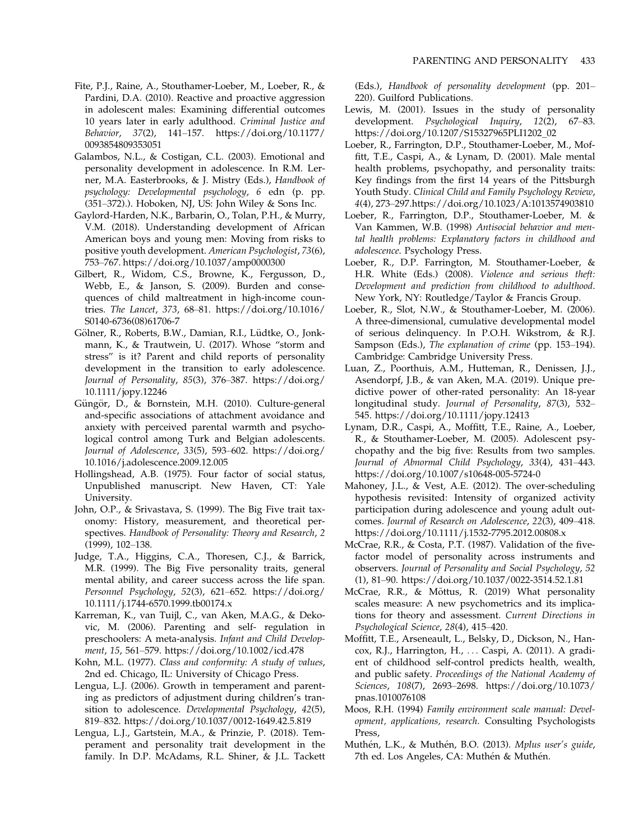- Fite, P.J., Raine, A., Stouthamer-Loeber, M., Loeber, R., & Pardini, D.A. (2010). Reactive and proactive aggression in adolescent males: Examining differential outcomes 10 years later in early adulthood. Criminal Justice and Behavior, 37(2), 141–157. [https://doi.org/10.1177/](https://doi.org/10.1177/0093854809353051) [0093854809353051](https://doi.org/10.1177/0093854809353051)
- Galambos, N.L., & Costigan, C.L. (2003). Emotional and personality development in adolescence. In R.M. Lerner, M.A. Easterbrooks, & J. Mistry (Eds.), Handbook of psychology: Developmental psychology, 6 edn (p. pp. (351–372).). Hoboken, NJ, US: John Wiley & Sons Inc.
- Gaylord-Harden, N.K., Barbarin, O., Tolan, P.H., & Murry, V.M. (2018). Understanding development of African American boys and young men: Moving from risks to positive youth development. American Psychologist, 73(6), 753–767.<https://doi.org/10.1037/amp0000300>
- Gilbert, R., Widom, C.S., Browne, K., Fergusson, D., Webb, E., & Janson, S. (2009). Burden and consequences of child maltreatment in high-income countries. The Lancet, 373, 68–81. [https://doi.org/10.1016/](https://doi.org/10.1016/S0140-6736(08)61706-7) [S0140-6736\(08\)61706-7](https://doi.org/10.1016/S0140-6736(08)61706-7)
- Gölner, R., Roberts, B.W., Damian, R.I., Lüdtke, O., Jonkmann, K., & Trautwein, U. (2017). Whose "storm and stress" is it? Parent and child reports of personality development in the transition to early adolescence. Journal of Personality, 85(3), 376–387. [https://doi.org/](https://doi.org/10.1111/jopy.12246) [10.1111/jopy.12246](https://doi.org/10.1111/jopy.12246)
- Güngör, D., & Bornstein, M.H. (2010). Culture-general and-specific associations of attachment avoidance and anxiety with perceived parental warmth and psychological control among Turk and Belgian adolescents. Journal of Adolescence, 33(5), 593–602. [https://doi.org/](https://doi.org/10.1016/j.adolescence.2009.12.005) [10.1016/j.adolescence.2009.12.005](https://doi.org/10.1016/j.adolescence.2009.12.005)
- Hollingshead, A.B. (1975). Four factor of social status, Unpublished manuscript. New Haven, CT: Yale University.
- John, O.P., & Srivastava, S. (1999). The Big Five trait taxonomy: History, measurement, and theoretical perspectives. Handbook of Personality: Theory and Research, 2 (1999), 102–138.
- Judge, T.A., Higgins, C.A., Thoresen, C.J., & Barrick, M.R. (1999). The Big Five personality traits, general mental ability, and career success across the life span. Personnel Psychology, 52(3), 621–652. [https://doi.org/](https://doi.org/10.1111/j.1744-6570.1999.tb00174.x) [10.1111/j.1744-6570.1999.tb00174.x](https://doi.org/10.1111/j.1744-6570.1999.tb00174.x)
- Karreman, K., van Tuijl, C., van Aken, M.A.G., & Dekovic, M. (2006). Parenting and self- regulation in preschoolers: A meta-analysis. Infant and Child Development, 15, 561–579.<https://doi.org/10.1002/icd.478>
- Kohn, M.L. (1977). Class and conformity: A study of values, 2nd ed. Chicago, IL: University of Chicago Press.
- Lengua, L.J. (2006). Growth in temperament and parenting as predictors of adjustment during children's transition to adolescence. Developmental Psychology, 42(5), 819–832.<https://doi.org/10.1037/0012-1649.42.5.819>
- Lengua, L.J., Gartstein, M.A., & Prinzie, P. (2018). Temperament and personality trait development in the family. In D.P. McAdams, R.L. Shiner, & J.L. Tackett

(Eds.), Handbook of personality development (pp. 201– 220). Guilford Publications.

- Lewis, M. (2001). Issues in the study of personality development. Psychological Inquiry, 12(2), 67–83. [https://doi.org/10.1207/S15327965PLI1202\\_02](https://doi.org/10.1207/S15327965PLI1202_02)
- Loeber, R., Farrington, D.P., Stouthamer-Loeber, M., Moffitt, T.E., Caspi, A., & Lynam, D. (2001). Male mental health problems, psychopathy, and personality traits: Key findings from the first 14 years of the Pittsburgh Youth Study. Clinical Child and Family Psychology Review, 4(4), 273–297[.https://doi.org/10.1023/A:1013574903810](https://doi.org/10.1023/A:1013574903810)
- Loeber, R., Farrington, D.P., Stouthamer-Loeber, M. & Van Kammen, W.B. (1998) Antisocial behavior and mental health problems: Explanatory factors in childhood and adolescence. Psychology Press.
- Loeber, R., D.P. Farrington, M. Stouthamer-Loeber, & H.R. White (Eds.) (2008). Violence and serious theft: Development and prediction from childhood to adulthood. New York, NY: Routledge/Taylor & Francis Group.
- Loeber, R., Slot, N.W., & Stouthamer-Loeber, M. (2006). A three-dimensional, cumulative developmental model of serious delinquency. In P.O.H. Wikstrom, & R.J. Sampson (Eds.), The explanation of crime (pp. 153-194). Cambridge: Cambridge University Press.
- Luan, Z., Poorthuis, A.M., Hutteman, R., Denissen, J.J., Asendorpf, J.B., & van Aken, M.A. (2019). Unique predictive power of other-rated personality: An 18-year longitudinal study. Journal of Personality, 87(3), 532– 545.<https://doi.org/10.1111/jopy.12413>
- Lynam, D.R., Caspi, A., Moffitt, T.E., Raine, A., Loeber, R., & Stouthamer-Loeber, M. (2005). Adolescent psychopathy and the big five: Results from two samples. Journal of Abnormal Child Psychology, 33(4), 431–443. <https://doi.org/10.1007/s10648-005-5724-0>
- Mahoney, J.L., & Vest, A.E. (2012). The over-scheduling hypothesis revisited: Intensity of organized activity participation during adolescence and young adult outcomes. Journal of Research on Adolescence, 22(3), 409–418. <https://doi.org/10.1111/j.1532-7795.2012.00808.x>
- McCrae, R.R., & Costa, P.T. (1987). Validation of the fivefactor model of personality across instruments and observers. Journal of Personality and Social Psychology, 52 (1), 81–90.<https://doi.org/10.1037/0022-3514.52.1.81>
- McCrae, R.R., & Mõttus, R. (2019) What personality scales measure: A new psychometrics and its implications for theory and assessment. Current Directions in Psychological Science, 28(4), 415–420.
- Moffitt, T.E., Arseneault, L., Belsky, D., Dickson, N., Hancox, R.J., Harrington, H., ... Caspi, A. (2011). A gradient of childhood self-control predicts health, wealth, and public safety. Proceedings of the National Academy of Sciences, 108(7), 2693–2698. [https://doi.org/10.1073/](https://doi.org/10.1073/pnas.1010076108) [pnas.1010076108](https://doi.org/10.1073/pnas.1010076108)
- Moos, R.H. (1994) Family environment scale manual: Development, applications, research. Consulting Psychologists Press,
- Muthén, L.K., & Muthén, B.O. (2013). Mplus user's guide, 7th ed. Los Angeles, CA: Muthén & Muthén.